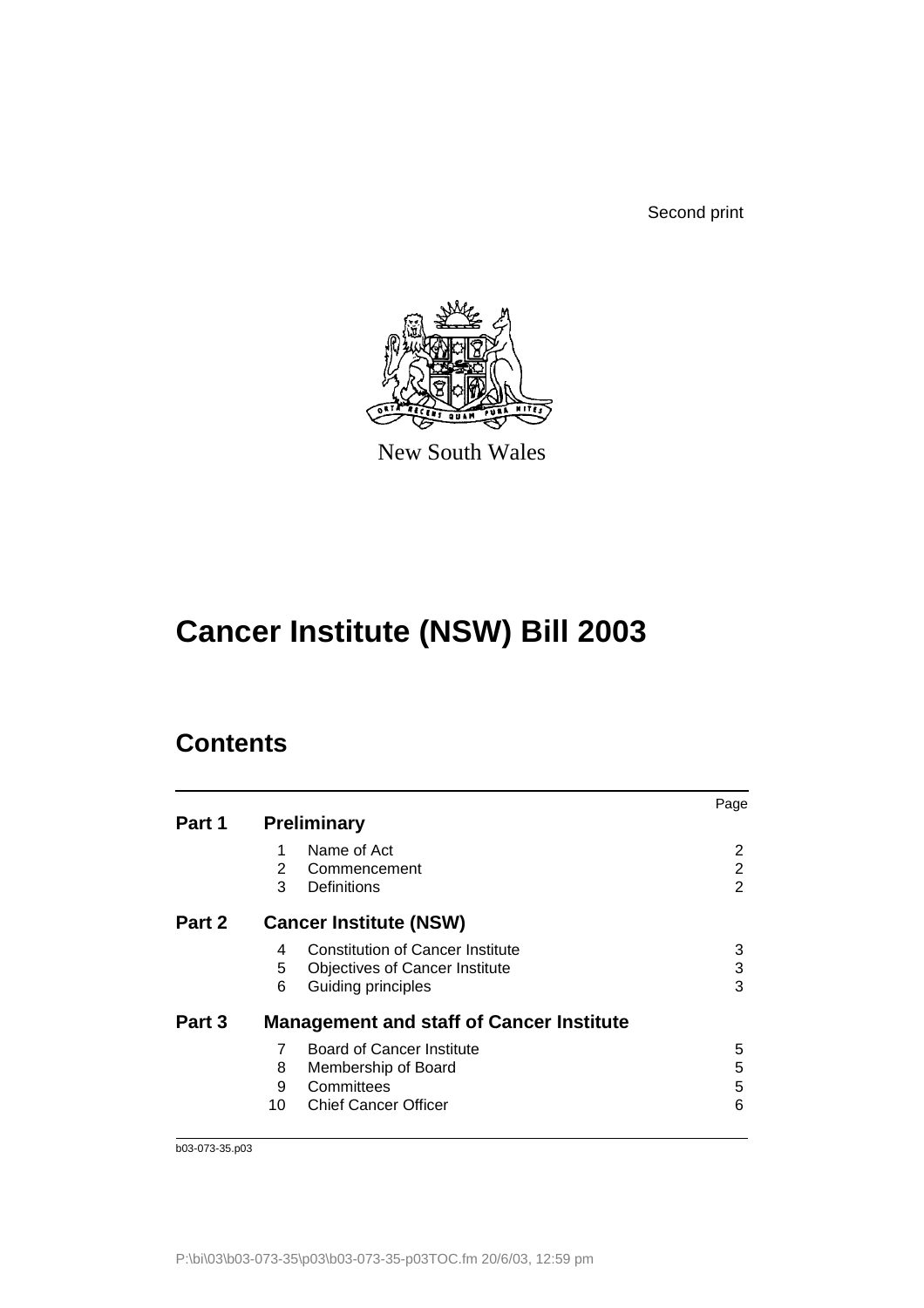Second print



New South Wales

# **Cancer Institute (NSW) Bill 2003**

# **Contents**

|        |    |                                                 | Page |
|--------|----|-------------------------------------------------|------|
| Part 1 |    | <b>Preliminary</b>                              |      |
|        | 1  | Name of Act                                     | 2    |
|        | 2  | Commencement                                    | 2    |
|        | 3  | Definitions                                     | 2    |
| Part 2 |    | <b>Cancer Institute (NSW)</b>                   |      |
|        | 4  | <b>Constitution of Cancer Institute</b>         | 3    |
|        | 5  | <b>Objectives of Cancer Institute</b>           | 3    |
|        | 6  | Guiding principles                              | 3    |
| Part 3 |    | <b>Management and staff of Cancer Institute</b> |      |
|        | 7  | Board of Cancer Institute                       | 5    |
|        | 8  | Membership of Board                             | 5    |
|        | 9  | Committees                                      | 5    |
|        | 10 | <b>Chief Cancer Officer</b>                     | 6    |
|        |    |                                                 |      |

b03-073-35.p03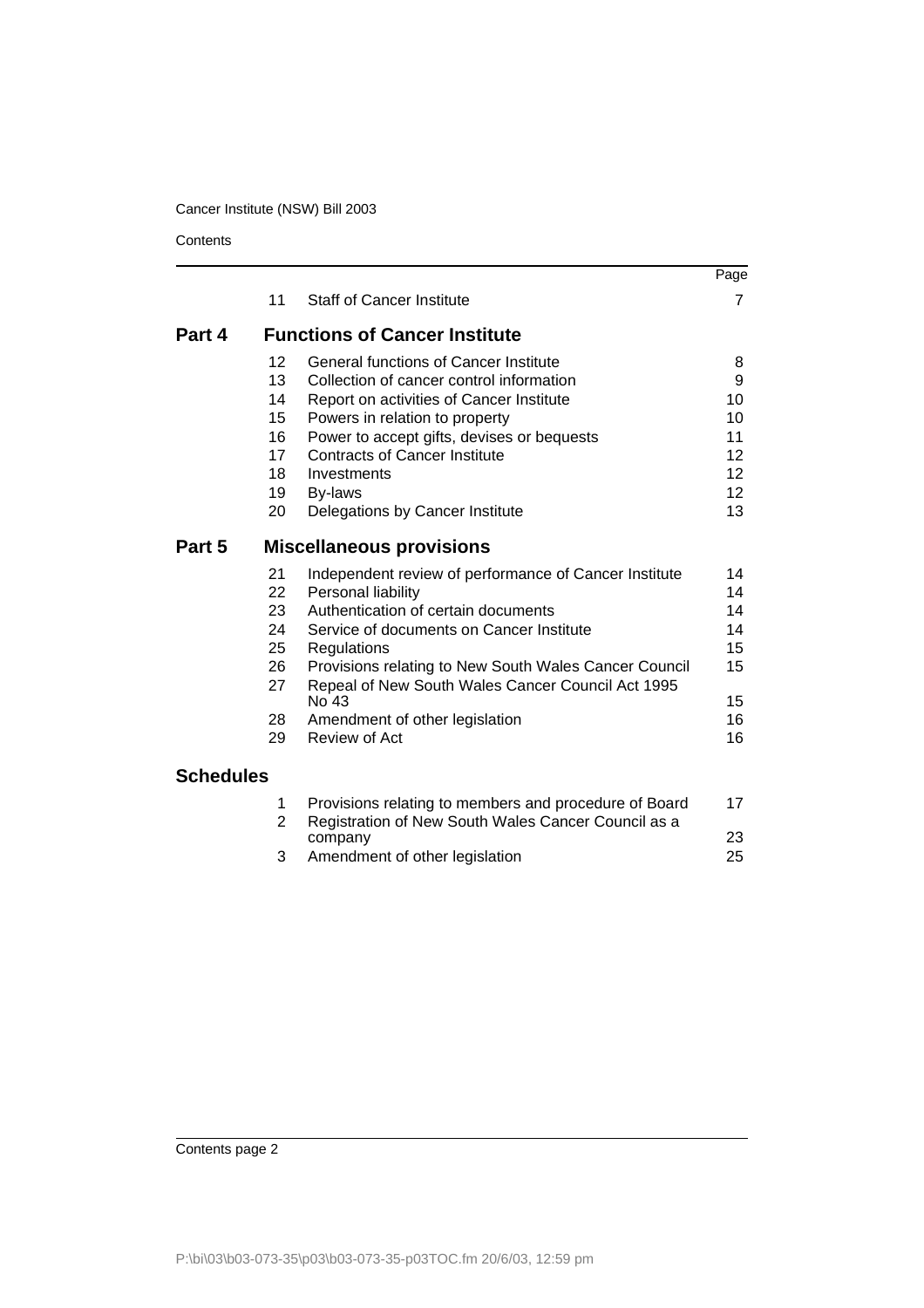**Contents** 

|                  |                |                                                                                                            | Page            |
|------------------|----------------|------------------------------------------------------------------------------------------------------------|-----------------|
|                  | 11             | <b>Staff of Cancer Institute</b>                                                                           | $\overline{7}$  |
| Part 4           |                | <b>Functions of Cancer Institute</b>                                                                       |                 |
|                  | 12             | <b>General functions of Cancer Institute</b>                                                               | 8               |
|                  | 13             | Collection of cancer control information                                                                   | 9               |
|                  | 14             | Report on activities of Cancer Institute                                                                   | 10              |
|                  | 15             | Powers in relation to property                                                                             | 10              |
|                  | 16             | Power to accept gifts, devises or bequests                                                                 | 11              |
|                  | 17             | <b>Contracts of Cancer Institute</b>                                                                       | 12              |
|                  | 18             | Investments                                                                                                | 12 <sub>2</sub> |
|                  | 19             | By-laws                                                                                                    | 12 <sup>2</sup> |
|                  | 20             | Delegations by Cancer Institute                                                                            | 13              |
| Part 5           |                | <b>Miscellaneous provisions</b>                                                                            |                 |
|                  | 21             | Independent review of performance of Cancer Institute                                                      | 14              |
|                  | 22             | Personal liability                                                                                         | 14              |
|                  | 23             | Authentication of certain documents                                                                        | 14              |
|                  | 24             | Service of documents on Cancer Institute                                                                   | 14              |
|                  | 25             | Regulations                                                                                                | 15              |
|                  | 26<br>27       | Provisions relating to New South Wales Cancer Council<br>Repeal of New South Wales Cancer Council Act 1995 | 15              |
|                  |                | No 43                                                                                                      | 15              |
|                  | 28             | Amendment of other legislation<br>Review of Act                                                            | 16              |
|                  | 29             |                                                                                                            | 16              |
| <b>Schedules</b> |                |                                                                                                            |                 |
|                  | 1              | Provisions relating to members and procedure of Board                                                      | 17              |
|                  | $\overline{2}$ | Registration of New South Wales Cancer Council as a<br>company                                             | 23              |
|                  | 3              | Amendment of other legislation                                                                             | 25              |

Contents page 2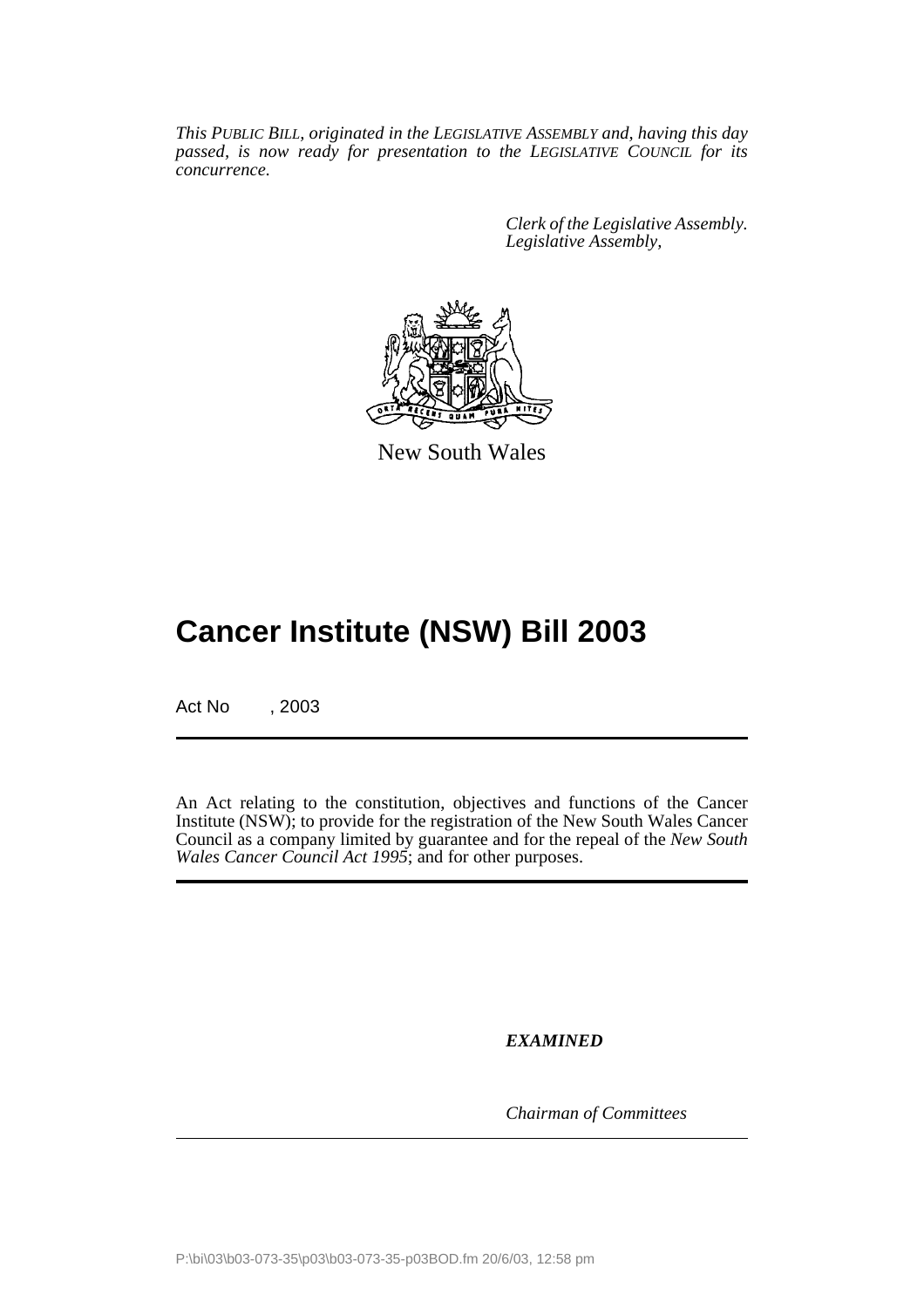*This PUBLIC BILL, originated in the LEGISLATIVE ASSEMBLY and, having this day passed, is now ready for presentation to the LEGISLATIVE COUNCIL for its concurrence.*

> *Clerk of the Legislative Assembly. Legislative Assembly,*



New South Wales

# **Cancer Institute (NSW) Bill 2003**

Act No , 2003

An Act relating to the constitution, objectives and functions of the Cancer Institute (NSW); to provide for the registration of the New South Wales Cancer Council as a company limited by guarantee and for the repeal of the *New South Wales Cancer Council Act 1995*; and for other purposes.

*EXAMINED*

*Chairman of Committees*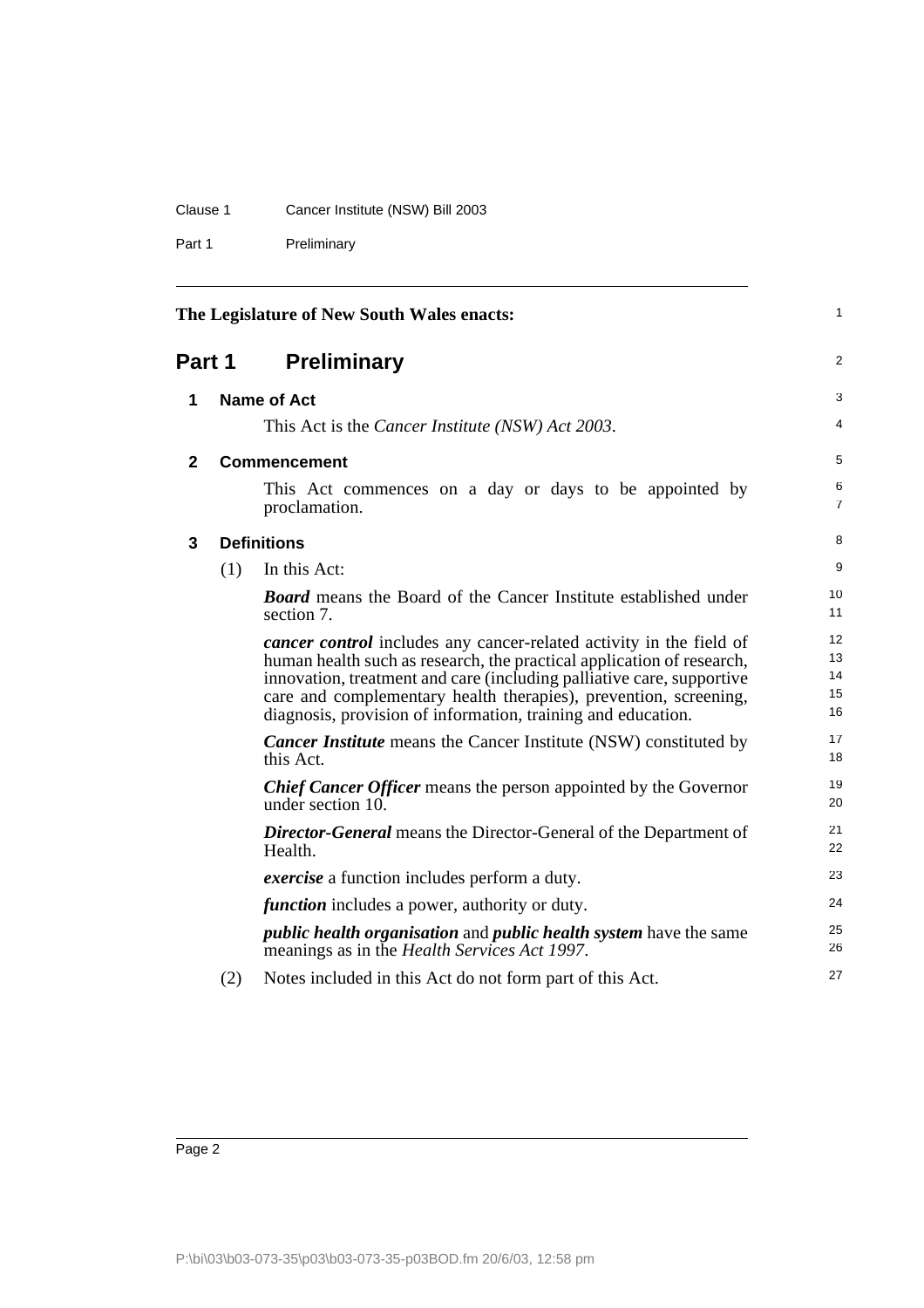# Clause 1 Cancer Institute (NSW) Bill 2003

Part 1 Preliminary

<span id="page-3-3"></span><span id="page-3-2"></span><span id="page-3-1"></span><span id="page-3-0"></span>

| The Legislature of New South Wales enacts: |     |                                                                                                                                                                                                                                                                                                                                                                  | 1                          |
|--------------------------------------------|-----|------------------------------------------------------------------------------------------------------------------------------------------------------------------------------------------------------------------------------------------------------------------------------------------------------------------------------------------------------------------|----------------------------|
| Part 1                                     |     | <b>Preliminary</b>                                                                                                                                                                                                                                                                                                                                               | $\overline{2}$             |
| 1                                          |     | <b>Name of Act</b>                                                                                                                                                                                                                                                                                                                                               | 3                          |
|                                            |     | This Act is the Cancer Institute (NSW) Act 2003.                                                                                                                                                                                                                                                                                                                 | 4                          |
| 2                                          |     | <b>Commencement</b>                                                                                                                                                                                                                                                                                                                                              | 5                          |
|                                            |     | This Act commences on a day or days to be appointed by<br>proclamation.                                                                                                                                                                                                                                                                                          | 6<br>7                     |
| 3                                          |     | <b>Definitions</b>                                                                                                                                                                                                                                                                                                                                               | 8                          |
|                                            | (1) | In this Act:                                                                                                                                                                                                                                                                                                                                                     | 9                          |
|                                            |     | <b>Board</b> means the Board of the Cancer Institute established under<br>section 7.                                                                                                                                                                                                                                                                             | 10<br>11                   |
|                                            |     | <i>cancer control</i> includes any cancer-related activity in the field of<br>human health such as research, the practical application of research,<br>innovation, treatment and care (including palliative care, supportive<br>care and complementary health therapies), prevention, screening,<br>diagnosis, provision of information, training and education. | 12<br>13<br>14<br>15<br>16 |
|                                            |     | <b>Cancer Institute</b> means the Cancer Institute (NSW) constituted by<br>this Act.                                                                                                                                                                                                                                                                             | 17<br>18                   |
|                                            |     | <b>Chief Cancer Officer</b> means the person appointed by the Governor<br>under section 10.                                                                                                                                                                                                                                                                      | 19<br>20                   |
|                                            |     | <b>Director-General</b> means the Director-General of the Department of<br>Health.                                                                                                                                                                                                                                                                               | 21<br>22                   |
|                                            |     | <i>exercise</i> a function includes perform a duty.                                                                                                                                                                                                                                                                                                              | 23                         |
|                                            |     | <i>function</i> includes a power, authority or duty.                                                                                                                                                                                                                                                                                                             | 24                         |
|                                            |     | <i>public health organisation</i> and <i>public health system</i> have the same<br>meanings as in the <i>Health Services Act 1997</i> .                                                                                                                                                                                                                          | 25<br>26                   |
|                                            | (2) | Notes included in this Act do not form part of this Act.                                                                                                                                                                                                                                                                                                         | 27                         |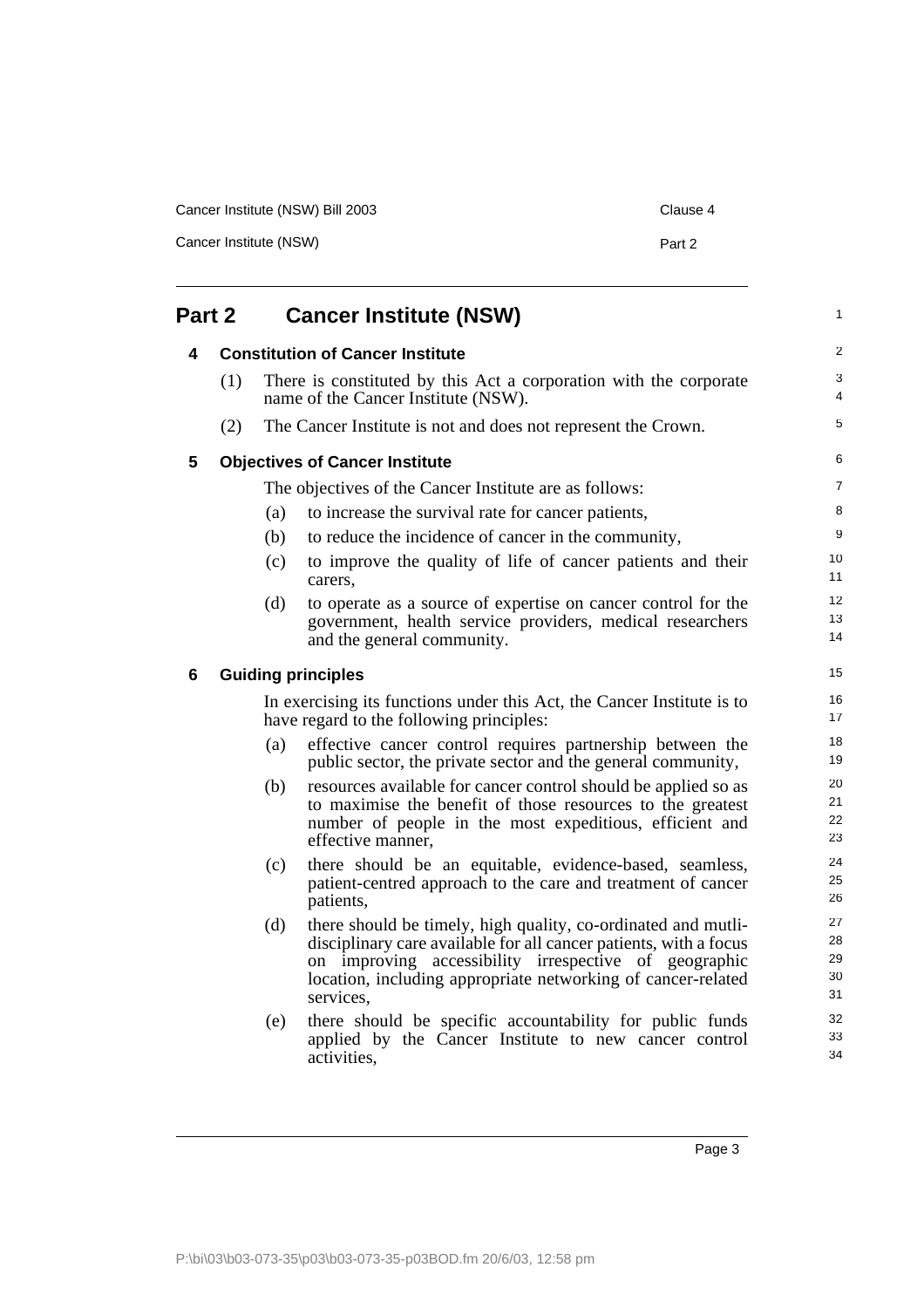| Cancer Institute (NSW) Bill 2003 |        |  |
|----------------------------------|--------|--|
| Cancer Institute (NSW)           | Part 2 |  |

<span id="page-4-3"></span><span id="page-4-2"></span><span id="page-4-1"></span><span id="page-4-0"></span>

| Part 2 |     | <b>Cancer Institute (NSW)</b> |                                                                                                                                                                                                                                                                          | $\mathbf{1}$               |
|--------|-----|-------------------------------|--------------------------------------------------------------------------------------------------------------------------------------------------------------------------------------------------------------------------------------------------------------------------|----------------------------|
| 4      |     |                               | <b>Constitution of Cancer Institute</b>                                                                                                                                                                                                                                  | $\overline{2}$             |
|        | (1) |                               | There is constituted by this Act a corporation with the corporate<br>name of the Cancer Institute (NSW).                                                                                                                                                                 | 3<br>4                     |
|        | (2) |                               | The Cancer Institute is not and does not represent the Crown.                                                                                                                                                                                                            | 5                          |
| 5      |     |                               | <b>Objectives of Cancer Institute</b>                                                                                                                                                                                                                                    | 6                          |
|        |     |                               | The objectives of the Cancer Institute are as follows:                                                                                                                                                                                                                   | $\overline{7}$             |
|        |     | (a)                           | to increase the survival rate for cancer patients,                                                                                                                                                                                                                       | 8                          |
|        |     | (b)                           | to reduce the incidence of cancer in the community,                                                                                                                                                                                                                      | 9                          |
|        |     | (c)                           | to improve the quality of life of cancer patients and their<br>carers,                                                                                                                                                                                                   | 10<br>11                   |
|        |     | (d)                           | to operate as a source of expertise on cancer control for the<br>government, health service providers, medical researchers<br>and the general community.                                                                                                                 | 12<br>13<br>14             |
| 6      |     |                               | <b>Guiding principles</b>                                                                                                                                                                                                                                                | 15                         |
|        |     |                               | In exercising its functions under this Act, the Cancer Institute is to<br>have regard to the following principles:                                                                                                                                                       | 16<br>17                   |
|        |     | (a)                           | effective cancer control requires partnership between the<br>public sector, the private sector and the general community,                                                                                                                                                | 18<br>19                   |
|        |     | (b)                           | resources available for cancer control should be applied so as<br>to maximise the benefit of those resources to the greatest<br>number of people in the most expeditious, efficient and<br>effective manner,                                                             | 20<br>21<br>22<br>23       |
|        |     | (c)                           | there should be an equitable, evidence-based, seamless,<br>patient-centred approach to the care and treatment of cancer<br>patients,                                                                                                                                     | 24<br>25<br>26             |
|        |     | (d)                           | there should be timely, high quality, co-ordinated and mutli-<br>disciplinary care available for all cancer patients, with a focus<br>on improving accessibility irrespective of geographic<br>location, including appropriate networking of cancer-related<br>services. | 27<br>28<br>29<br>30<br>31 |
|        |     | (e)                           | there should be specific accountability for public funds<br>applied by the Cancer Institute to new cancer control<br>activities,                                                                                                                                         | 32<br>33<br>34             |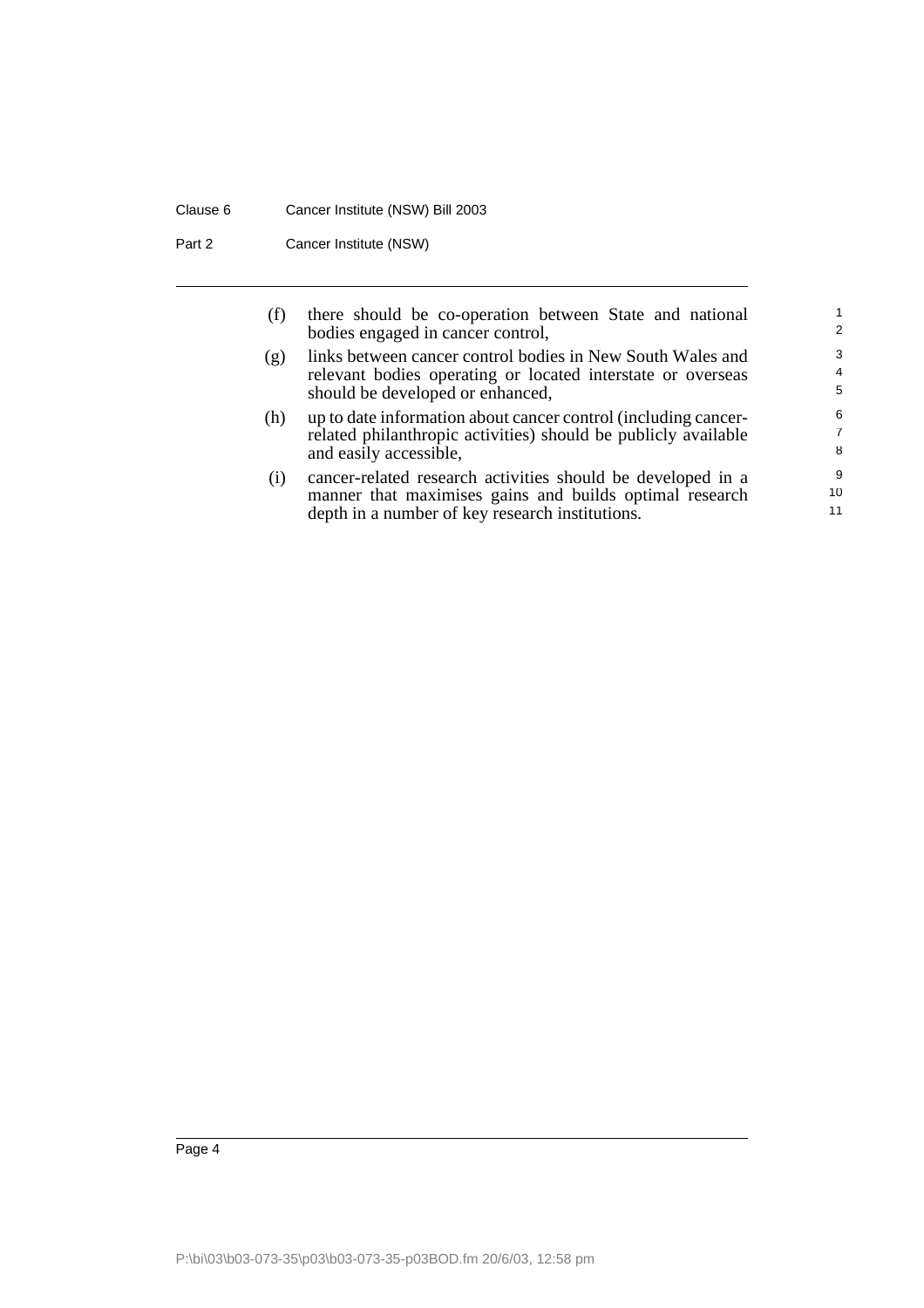# Clause 6 Cancer Institute (NSW) Bill 2003

Part 2 Cancer Institute (NSW)

| (f) | there should be co-operation between State and national<br>bodies engaged in cancer control,                                                                              | 2                        |
|-----|---------------------------------------------------------------------------------------------------------------------------------------------------------------------------|--------------------------|
| (g) | links between cancer control bodies in New South Wales and<br>relevant bodies operating or located interstate or overseas<br>should be developed or enhanced,             | 3<br>$\overline{4}$<br>5 |
| (h) | up to date information about cancer control (including cancer-<br>related philanthropic activities) should be publicly available<br>and easily accessible,                | 6<br>7<br>8              |
| (1) | cancer-related research activities should be developed in a<br>manner that maximises gains and builds optimal research<br>depth in a number of key research institutions. | 9<br>10<br>11            |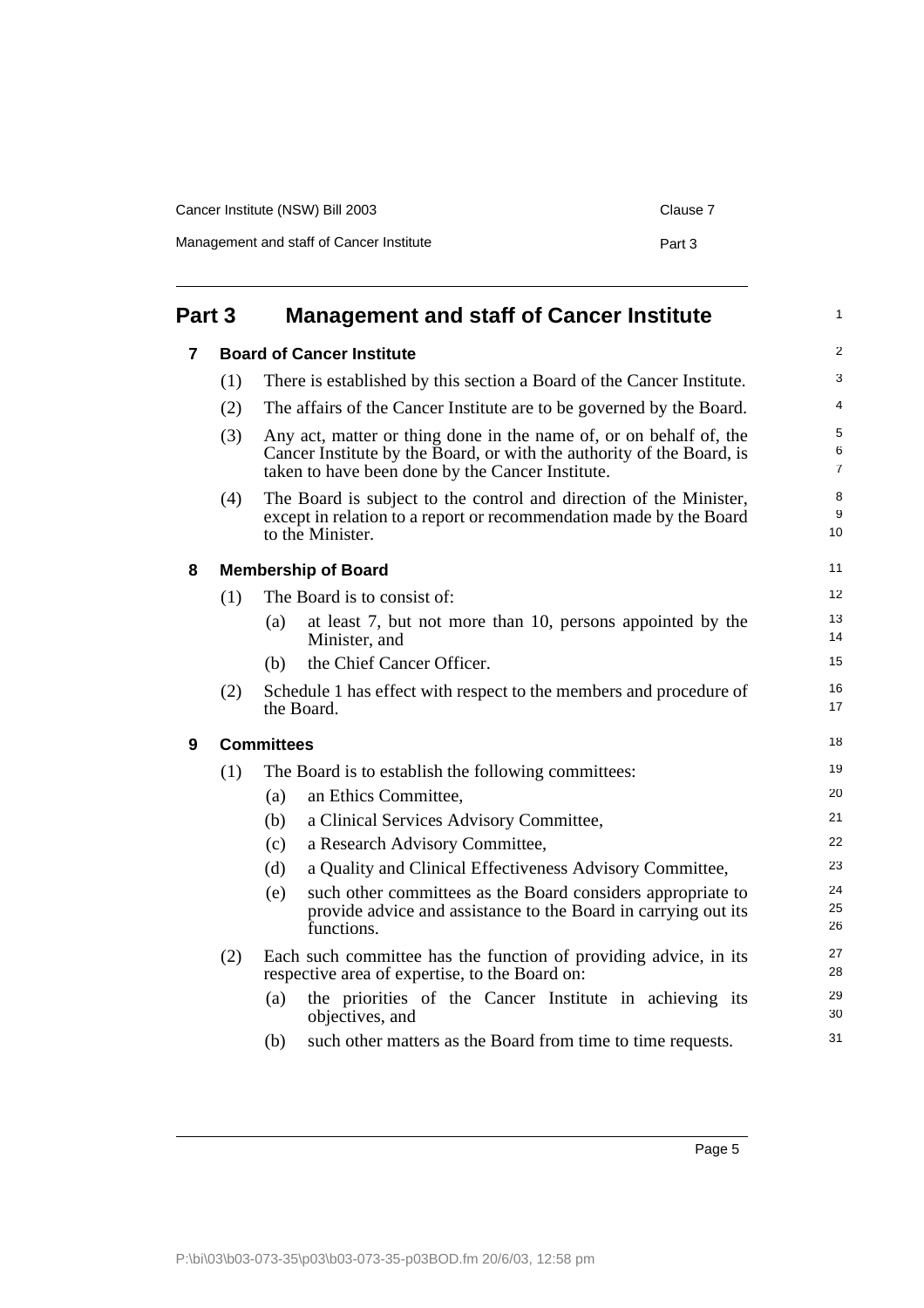| Cancer Institute (NSW) Bill 2003         |        |  |
|------------------------------------------|--------|--|
| Management and staff of Cancer Institute | Part 3 |  |

<span id="page-6-3"></span><span id="page-6-2"></span><span id="page-6-1"></span><span id="page-6-0"></span>

| Part 3 |     |                   | <b>Management and staff of Cancer Institute</b>                                                                                                                                                 | 1                        |
|--------|-----|-------------------|-------------------------------------------------------------------------------------------------------------------------------------------------------------------------------------------------|--------------------------|
| 7      |     |                   | <b>Board of Cancer Institute</b>                                                                                                                                                                |                          |
|        | (1) |                   | There is established by this section a Board of the Cancer Institute.                                                                                                                           | 3                        |
|        | (2) |                   | The affairs of the Cancer Institute are to be governed by the Board.                                                                                                                            | 4                        |
|        | (3) |                   | Any act, matter or thing done in the name of, or on behalf of, the<br>Cancer Institute by the Board, or with the authority of the Board, is<br>taken to have been done by the Cancer Institute. | 5<br>6<br>$\overline{7}$ |
|        | (4) |                   | The Board is subject to the control and direction of the Minister,<br>except in relation to a report or recommendation made by the Board<br>to the Minister.                                    | 8<br>9<br>10             |
| 8      |     |                   | <b>Membership of Board</b>                                                                                                                                                                      | 11                       |
|        | (1) |                   | The Board is to consist of:                                                                                                                                                                     | 12                       |
|        |     | (a)               | at least 7, but not more than 10, persons appointed by the<br>Minister, and                                                                                                                     | 13<br>14                 |
|        |     | (b)               | the Chief Cancer Officer.                                                                                                                                                                       | 15                       |
|        | (2) |                   | Schedule 1 has effect with respect to the members and procedure of<br>the Board.                                                                                                                | 16<br>17                 |
| 9      |     | <b>Committees</b> |                                                                                                                                                                                                 | 18                       |
|        | (1) |                   | The Board is to establish the following committees:                                                                                                                                             | 19                       |
|        |     | (a)               | an Ethics Committee,                                                                                                                                                                            | 20                       |
|        |     | (b)               | a Clinical Services Advisory Committee,                                                                                                                                                         | 21                       |
|        |     | (c)               | a Research Advisory Committee,                                                                                                                                                                  | 22                       |
|        |     | (d)               | a Quality and Clinical Effectiveness Advisory Committee,                                                                                                                                        | 23                       |
|        |     | (e)               | such other committees as the Board considers appropriate to<br>provide advice and assistance to the Board in carrying out its<br>functions.                                                     | 24<br>25<br>26           |
|        | (2) |                   | Each such committee has the function of providing advice, in its<br>respective area of expertise, to the Board on:                                                                              | 27<br>28                 |
|        |     | (a)               | the priorities of the Cancer Institute in achieving its<br>objectives, and                                                                                                                      | 29<br>30                 |
|        |     | (b)               | such other matters as the Board from time to time requests.                                                                                                                                     | 31                       |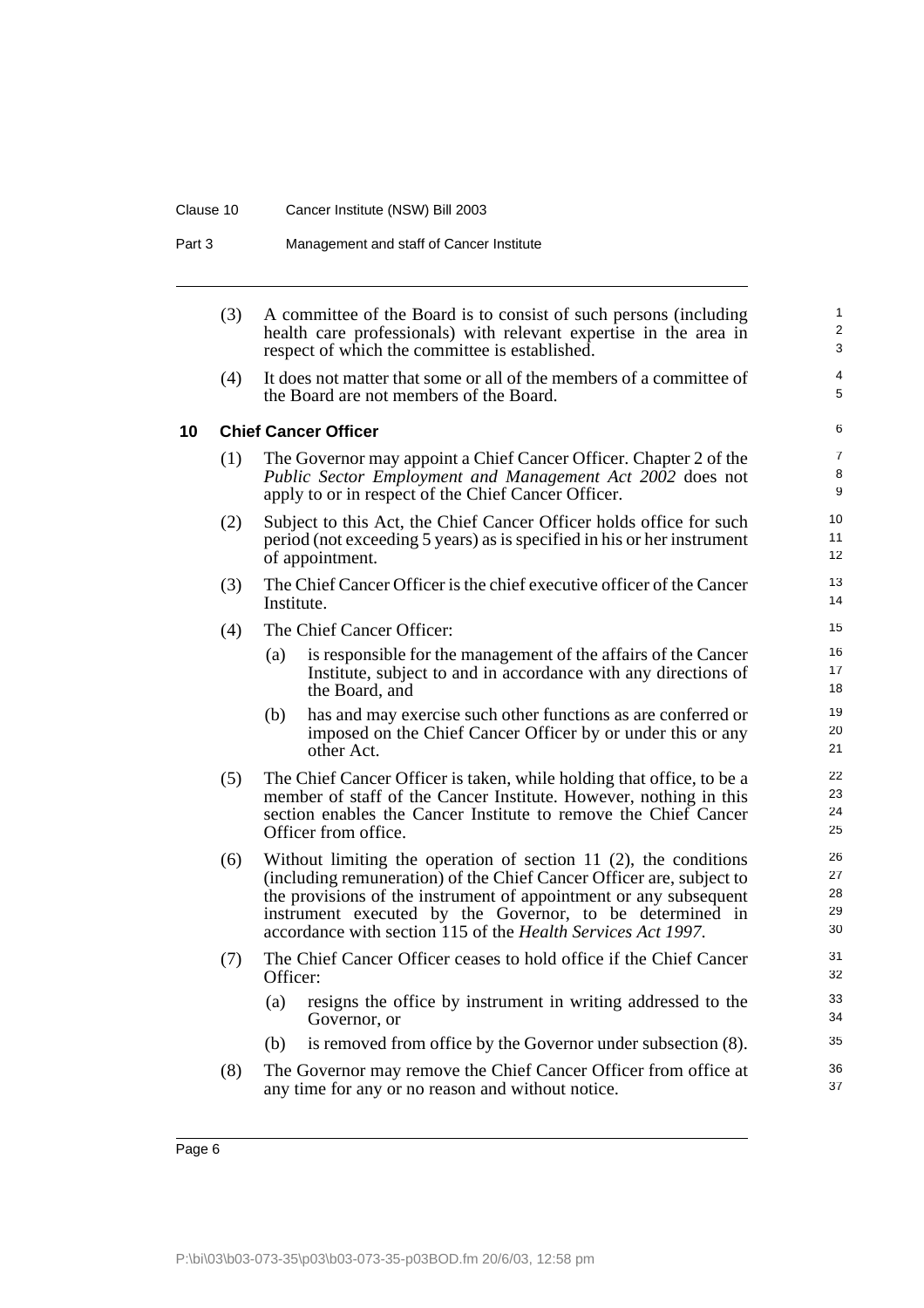## Clause 10 Cancer Institute (NSW) Bill 2003

Part 3 Management and staff of Cancer Institute

<span id="page-7-0"></span>

|    | (3) | A committee of the Board is to consist of such persons (including<br>health care professionals) with relevant expertise in the area in<br>respect of which the committee is established.                                                                                                                                                     | $\mathbf{1}$<br>$\mathbf{2}$<br>3 |
|----|-----|----------------------------------------------------------------------------------------------------------------------------------------------------------------------------------------------------------------------------------------------------------------------------------------------------------------------------------------------|-----------------------------------|
|    | (4) | It does not matter that some or all of the members of a committee of<br>the Board are not members of the Board.                                                                                                                                                                                                                              | 4<br>5                            |
| 10 |     | <b>Chief Cancer Officer</b>                                                                                                                                                                                                                                                                                                                  | 6                                 |
|    | (1) | The Governor may appoint a Chief Cancer Officer. Chapter 2 of the<br>Public Sector Employment and Management Act 2002 does not<br>apply to or in respect of the Chief Cancer Officer.                                                                                                                                                        | $\overline{7}$<br>8<br>9          |
|    | (2) | Subject to this Act, the Chief Cancer Officer holds office for such<br>period (not exceeding 5 years) as is specified in his or her instrument<br>of appointment.                                                                                                                                                                            | 10<br>11<br>12 <sup>2</sup>       |
|    | (3) | The Chief Cancer Officer is the chief executive officer of the Cancer<br>Institute.                                                                                                                                                                                                                                                          | 13<br>14                          |
|    | (4) | The Chief Cancer Officer:                                                                                                                                                                                                                                                                                                                    | 15                                |
|    |     | is responsible for the management of the affairs of the Cancer<br>(a)<br>Institute, subject to and in accordance with any directions of<br>the Board, and                                                                                                                                                                                    | 16<br>17<br>18                    |
|    |     | has and may exercise such other functions as are conferred or<br>(b)<br>imposed on the Chief Cancer Officer by or under this or any<br>other Act.                                                                                                                                                                                            | 19<br>20<br>21                    |
|    | (5) | The Chief Cancer Officer is taken, while holding that office, to be a<br>member of staff of the Cancer Institute. However, nothing in this<br>section enables the Cancer Institute to remove the Chief Cancer<br>Officer from office.                                                                                                        | 22<br>23<br>24<br>25              |
|    | (6) | Without limiting the operation of section 11 $(2)$ , the conditions<br>(including remuneration) of the Chief Cancer Officer are, subject to<br>the provisions of the instrument of appointment or any subsequent<br>instrument executed by the Governor, to be determined in<br>accordance with section 115 of the Health Services Act 1997. | 26<br>27<br>28<br>29<br>30        |
|    | (7) | The Chief Cancer Officer ceases to hold office if the Chief Cancer<br>Officer:                                                                                                                                                                                                                                                               | 31<br>32                          |
|    |     | resigns the office by instrument in writing addressed to the<br>(a)<br>Governor, or                                                                                                                                                                                                                                                          | 33<br>34                          |
|    |     | is removed from office by the Governor under subsection (8).<br>(b)                                                                                                                                                                                                                                                                          | 35                                |
|    | (8) | The Governor may remove the Chief Cancer Officer from office at<br>any time for any or no reason and without notice.                                                                                                                                                                                                                         | 36<br>37                          |
|    |     |                                                                                                                                                                                                                                                                                                                                              |                                   |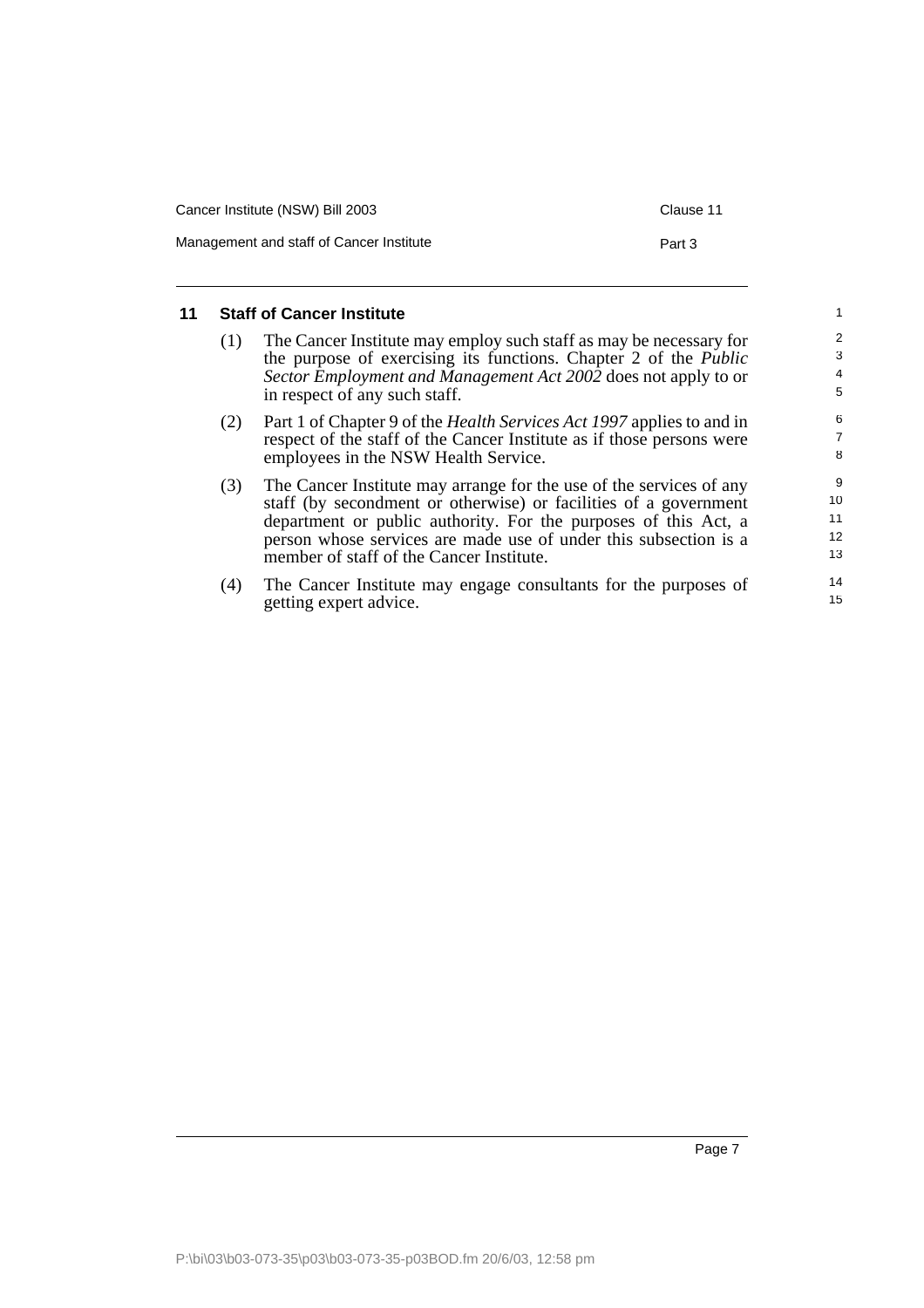| Cancer Institute (NSW) Bill 2003         |        |  |  |
|------------------------------------------|--------|--|--|
| Management and staff of Cancer Institute | Part 3 |  |  |

## <span id="page-8-0"></span>**11 Staff of Cancer Institute**

- (1) The Cancer Institute may employ such staff as may be necessary for the purpose of exercising its functions. Chapter 2 of the *Public Sector Employment and Management Act 2002* does not apply to or in respect of any such staff.
- (2) Part 1 of Chapter 9 of the *Health Services Act 1997* applies to and in respect of the staff of the Cancer Institute as if those persons were employees in the NSW Health Service.
- (3) The Cancer Institute may arrange for the use of the services of any staff (by secondment or otherwise) or facilities of a government department or public authority. For the purposes of this Act, a person whose services are made use of under this subsection is a member of staff of the Cancer Institute.
- (4) The Cancer Institute may engage consultants for the purposes of getting expert advice.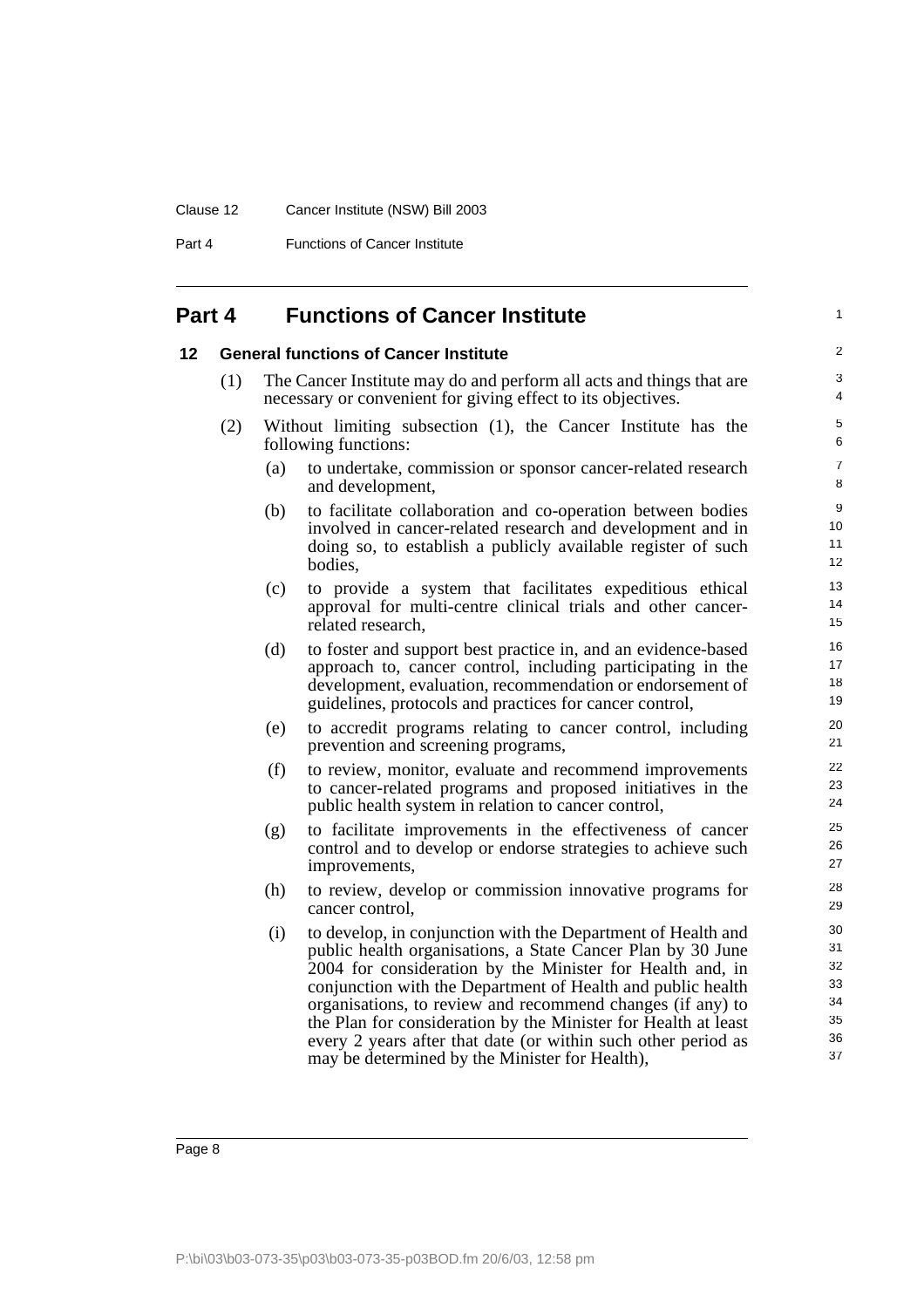#### Clause 12 Cancer Institute (NSW) Bill 2003

Part 4 **Functions of Cancer Institute** 

# <span id="page-9-0"></span>**Part 4 Functions of Cancer Institute**

### <span id="page-9-1"></span>**12 General functions of Cancer Institute**

- (1) The Cancer Institute may do and perform all acts and things that are necessary or convenient for giving effect to its objectives.
- (2) Without limiting subsection (1), the Cancer Institute has the following functions:
	- (a) to undertake, commission or sponsor cancer-related research and development,

1

- (b) to facilitate collaboration and co-operation between bodies involved in cancer-related research and development and in doing so, to establish a publicly available register of such bodies,
- (c) to provide a system that facilitates expeditious ethical approval for multi-centre clinical trials and other cancerrelated research,
- (d) to foster and support best practice in, and an evidence-based approach to, cancer control, including participating in the development, evaluation, recommendation or endorsement of guidelines, protocols and practices for cancer control,
- (e) to accredit programs relating to cancer control, including prevention and screening programs,
- (f) to review, monitor, evaluate and recommend improvements to cancer-related programs and proposed initiatives in the public health system in relation to cancer control,
- (g) to facilitate improvements in the effectiveness of cancer control and to develop or endorse strategies to achieve such improvements,
- (h) to review, develop or commission innovative programs for cancer control,
- (i) to develop, in conjunction with the Department of Health and public health organisations, a State Cancer Plan by 30 June 2004 for consideration by the Minister for Health and, in conjunction with the Department of Health and public health organisations, to review and recommend changes (if any) to the Plan for consideration by the Minister for Health at least every 2 years after that date (or within such other period as may be determined by the Minister for Health),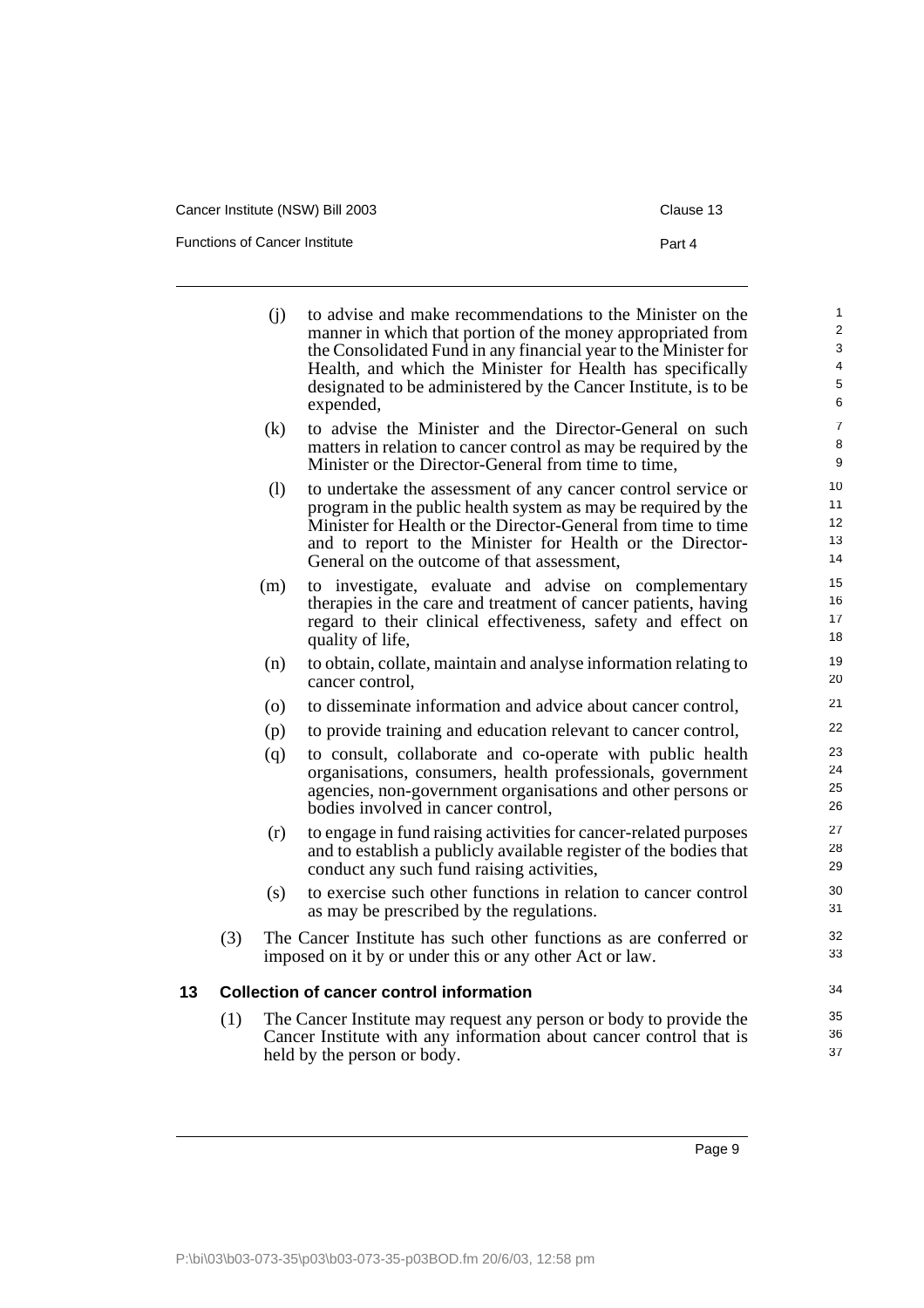Functions of Cancer Institute

| - |  |
|---|--|
|   |  |

<span id="page-10-0"></span>

|    |     | (i) | to advise and make recommendations to the Minister on the<br>manner in which that portion of the money appropriated from<br>the Consolidated Fund in any financial year to the Minister for<br>Health, and which the Minister for Health has specifically<br>designated to be administered by the Cancer Institute, is to be<br>expended, | $\mathbf{1}$<br>$\overline{2}$<br>3<br>4<br>5<br>6 |
|----|-----|-----|-------------------------------------------------------------------------------------------------------------------------------------------------------------------------------------------------------------------------------------------------------------------------------------------------------------------------------------------|----------------------------------------------------|
|    |     | (k) | to advise the Minister and the Director-General on such<br>matters in relation to cancer control as may be required by the<br>Minister or the Director-General from time to time,                                                                                                                                                         | $\overline{7}$<br>8<br>9                           |
|    |     | (1) | to undertake the assessment of any cancer control service or<br>program in the public health system as may be required by the<br>Minister for Health or the Director-General from time to time<br>and to report to the Minister for Health or the Director-<br>General on the outcome of that assessment,                                 | 10<br>11<br>12 <sup>2</sup><br>13<br>14            |
|    |     | (m) | to investigate, evaluate and advise on complementary<br>therapies in the care and treatment of cancer patients, having<br>regard to their clinical effectiveness, safety and effect on<br>quality of life,                                                                                                                                | 15<br>16<br>17<br>18                               |
|    |     | (n) | to obtain, collate, maintain and analyse information relating to<br>cancer control.                                                                                                                                                                                                                                                       | 19<br>20                                           |
|    |     | (0) | to disseminate information and advice about cancer control,                                                                                                                                                                                                                                                                               | 21                                                 |
|    |     | (p) | to provide training and education relevant to cancer control,                                                                                                                                                                                                                                                                             | 22                                                 |
|    |     | (q) | to consult, collaborate and co-operate with public health<br>organisations, consumers, health professionals, government<br>agencies, non-government organisations and other persons or<br>bodies involved in cancer control,                                                                                                              | 23<br>24<br>25<br>26                               |
|    |     | (r) | to engage in fund raising activities for cancer-related purposes<br>and to establish a publicly available register of the bodies that<br>conduct any such fund raising activities,                                                                                                                                                        | 27<br>28<br>29                                     |
|    |     | (s) | to exercise such other functions in relation to cancer control<br>as may be prescribed by the regulations.                                                                                                                                                                                                                                | 30<br>31                                           |
|    | (3) |     | The Cancer Institute has such other functions as are conferred or<br>imposed on it by or under this or any other Act or law.                                                                                                                                                                                                              | 32<br>33                                           |
| 13 |     |     | <b>Collection of cancer control information</b>                                                                                                                                                                                                                                                                                           | 34                                                 |
|    | (1) |     | The Cancer Institute may request any person or body to provide the<br>Cancer Institute with any information about cancer control that is<br>held by the person or body.                                                                                                                                                                   | 35<br>36<br>37                                     |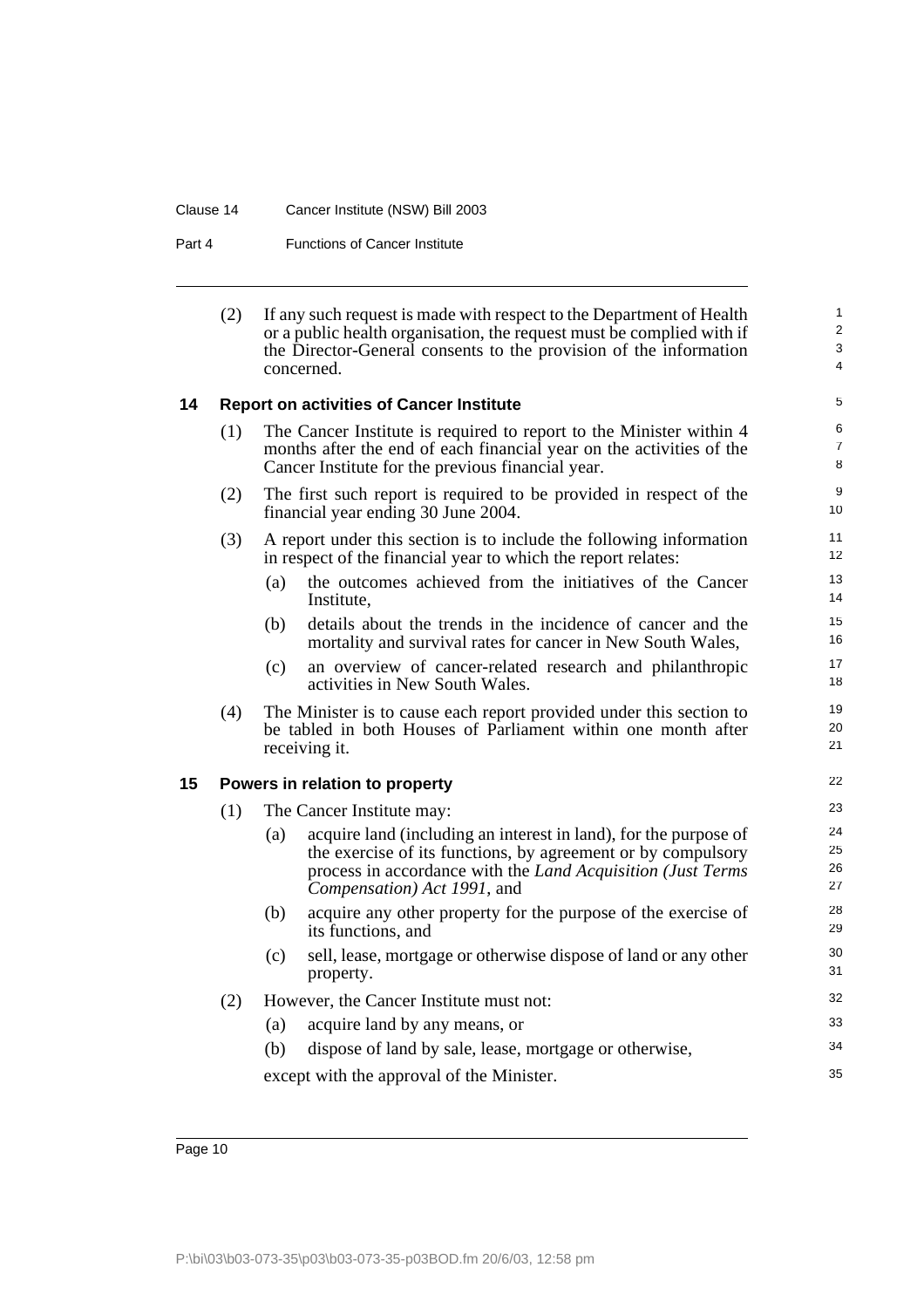#### Clause 14 Cancer Institute (NSW) Bill 2003

Part 4 **Functions of Cancer Institute** 

| (2) | If any such request is made with respect to the Department of Health  |
|-----|-----------------------------------------------------------------------|
|     | or a public health organisation, the request must be complied with if |
|     | the Director-General consents to the provision of the information     |
|     | concerned.                                                            |

22

35

## <span id="page-11-0"></span>**14 Report on activities of Cancer Institute**

| (1) | The Cancer Institute is required to report to the Minister within 4  |
|-----|----------------------------------------------------------------------|
|     | months after the end of each financial year on the activities of the |
|     | Cancer Institute for the previous financial year.                    |

- (2) The first such report is required to be provided in respect of the financial year ending 30 June 2004.
- (3) A report under this section is to include the following information in respect of the financial year to which the report relates:
	- (a) the outcomes achieved from the initiatives of the Cancer Institute,
	- (b) details about the trends in the incidence of cancer and the mortality and survival rates for cancer in New South Wales,
	- (c) an overview of cancer-related research and philanthropic activities in New South Wales.
- (4) The Minister is to cause each report provided under this section to be tabled in both Houses of Parliament within one month after receiving it.

### <span id="page-11-1"></span>**15 Powers in relation to property**

(1) The Cancer Institute may: (a) acquire land (including an interest in land), for the purpose of the exercise of its functions, by agreement or by compulsory process in accordance with the *Land Acquisition (Just Terms Compensation) Act 1991*, and (b) acquire any other property for the purpose of the exercise of its functions, and (c) sell, lease, mortgage or otherwise dispose of land or any other property. (2) However, the Cancer Institute must not: (a) acquire land by any means, or 23 24 25 26 27 28 29 30 31 32 33 34

(b) dispose of land by sale, lease, mortgage or otherwise,

except with the approval of the Minister.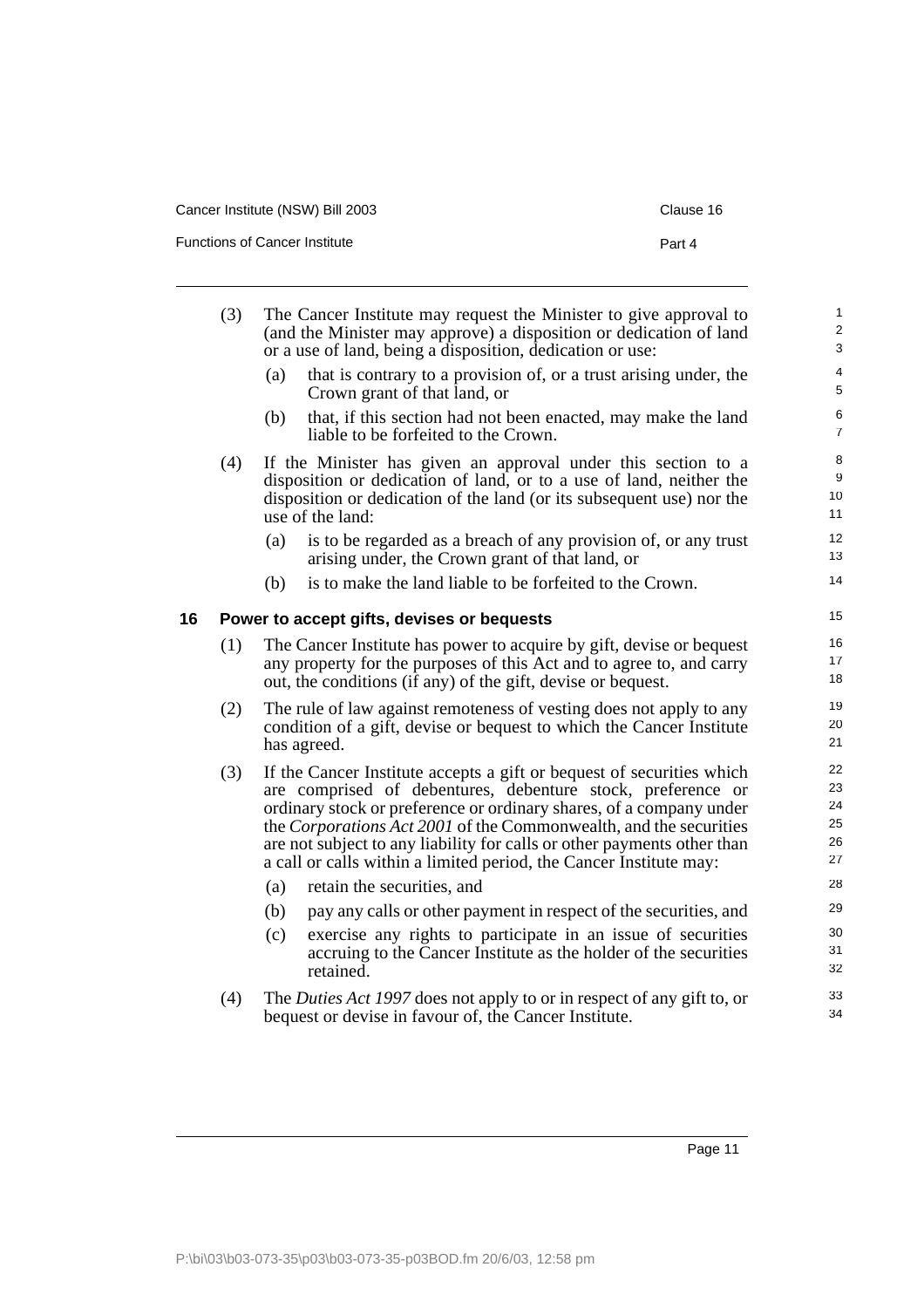|  | Cancer Institute (NSW) Bill 2003 |
|--|----------------------------------|
|--|----------------------------------|

Functions of Cancer Institute

| ×<br>œ<br>۰, |  |
|--------------|--|
|--------------|--|

<span id="page-12-0"></span>

|    | (3) |     | The Cancer Institute may request the Minister to give approval to<br>(and the Minister may approve) a disposition or dedication of land<br>or a use of land, being a disposition, dedication or use:                                                                                                                                                                                                                              | $\mathbf{1}$<br>$\overline{\mathbf{c}}$<br>3 |
|----|-----|-----|-----------------------------------------------------------------------------------------------------------------------------------------------------------------------------------------------------------------------------------------------------------------------------------------------------------------------------------------------------------------------------------------------------------------------------------|----------------------------------------------|
|    |     | (a) | that is contrary to a provision of, or a trust arising under, the<br>Crown grant of that land, or                                                                                                                                                                                                                                                                                                                                 | 4<br>5                                       |
|    |     | (b) | that, if this section had not been enacted, may make the land<br>liable to be forfeited to the Crown.                                                                                                                                                                                                                                                                                                                             | 6<br>$\overline{7}$                          |
|    | (4) |     | If the Minister has given an approval under this section to a<br>disposition or dedication of land, or to a use of land, neither the<br>disposition or dedication of the land (or its subsequent use) nor the<br>use of the land:                                                                                                                                                                                                 | 8<br>9<br>10<br>11                           |
|    |     | (a) | is to be regarded as a breach of any provision of, or any trust<br>arising under, the Crown grant of that land, or                                                                                                                                                                                                                                                                                                                | 12<br>13                                     |
|    |     | (b) | is to make the land liable to be forfeited to the Crown.                                                                                                                                                                                                                                                                                                                                                                          | 14                                           |
| 16 |     |     | Power to accept gifts, devises or bequests                                                                                                                                                                                                                                                                                                                                                                                        | 15                                           |
|    | (1) |     | The Cancer Institute has power to acquire by gift, devise or bequest<br>any property for the purposes of this Act and to agree to, and carry<br>out, the conditions (if any) of the gift, devise or bequest.                                                                                                                                                                                                                      | 16<br>17<br>18                               |
|    | (2) |     | The rule of law against remoteness of vesting does not apply to any<br>condition of a gift, devise or bequest to which the Cancer Institute<br>has agreed.                                                                                                                                                                                                                                                                        | 19<br>20<br>21                               |
|    | (3) |     | If the Cancer Institute accepts a gift or bequest of securities which<br>are comprised of debentures, debenture stock, preference or<br>ordinary stock or preference or ordinary shares, of a company under<br>the Corporations Act 2001 of the Commonwealth, and the securities<br>are not subject to any liability for calls or other payments other than<br>a call or calls within a limited period, the Cancer Institute may: | 22<br>23<br>24<br>25<br>26<br>27             |
|    |     | (a) | retain the securities, and                                                                                                                                                                                                                                                                                                                                                                                                        | 28                                           |
|    |     | (b) | pay any calls or other payment in respect of the securities, and                                                                                                                                                                                                                                                                                                                                                                  | 29                                           |
|    |     | (c) | exercise any rights to participate in an issue of securities<br>accruing to the Cancer Institute as the holder of the securities<br>retained.                                                                                                                                                                                                                                                                                     | 30<br>31<br>32                               |
|    | (4) |     | The Duties Act 1997 does not apply to or in respect of any gift to, or<br>bequest or devise in favour of, the Cancer Institute.                                                                                                                                                                                                                                                                                                   | 33<br>34                                     |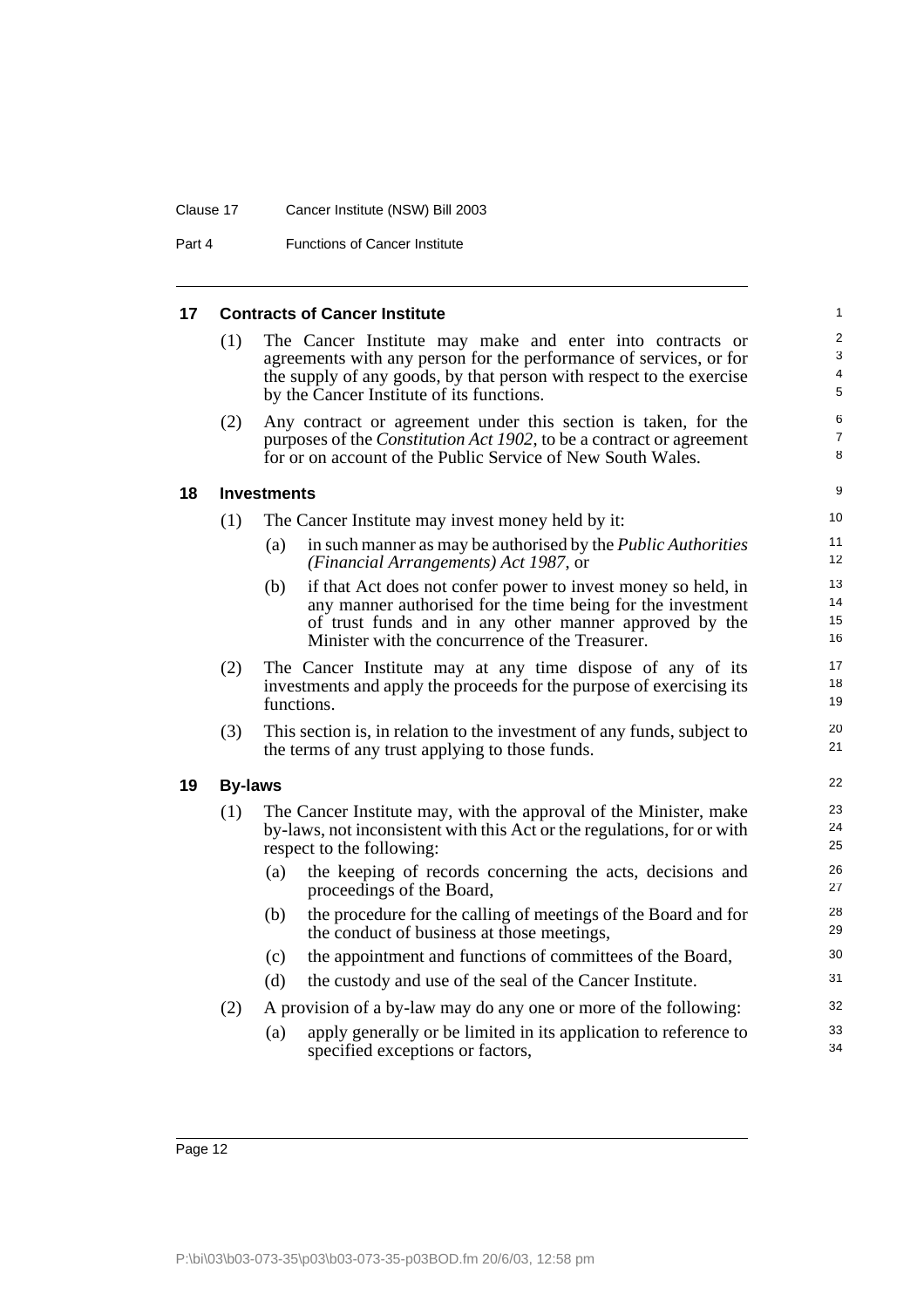#### Clause 17 Cancer Institute (NSW) Bill 2003

Part 4 **Functions of Cancer Institute** 

#### <span id="page-13-2"></span><span id="page-13-1"></span><span id="page-13-0"></span>**17 Contracts of Cancer Institute** (1) The Cancer Institute may make and enter into contracts or agreements with any person for the performance of services, or for the supply of any goods, by that person with respect to the exercise by the Cancer Institute of its functions. (2) Any contract or agreement under this section is taken, for the purposes of the *Constitution Act 1902*, to be a contract or agreement for or on account of the Public Service of New South Wales. **18 Investments** (1) The Cancer Institute may invest money held by it: (a) in such manner as may be authorised by the *Public Authorities (Financial Arrangements) Act 1987*, or (b) if that Act does not confer power to invest money so held, in any manner authorised for the time being for the investment of trust funds and in any other manner approved by the Minister with the concurrence of the Treasurer. (2) The Cancer Institute may at any time dispose of any of its investments and apply the proceeds for the purpose of exercising its functions. (3) This section is, in relation to the investment of any funds, subject to the terms of any trust applying to those funds. **19 By-laws** (1) The Cancer Institute may, with the approval of the Minister, make by-laws, not inconsistent with this Act or the regulations, for or with respect to the following: (a) the keeping of records concerning the acts, decisions and proceedings of the Board, (b) the procedure for the calling of meetings of the Board and for the conduct of business at those meetings, (c) the appointment and functions of committees of the Board, (d) the custody and use of the seal of the Cancer Institute. (2) A provision of a by-law may do any one or more of the following: (a) apply generally or be limited in its application to reference to specified exceptions or factors, 1  $\overline{2}$ 3 4 5 6 7 8 9  $1<sub>0</sub>$ 11 12 13 14 15 16 17 18 19 20 21 22 23 24 25 26 27 28 29 30 31 32 33 34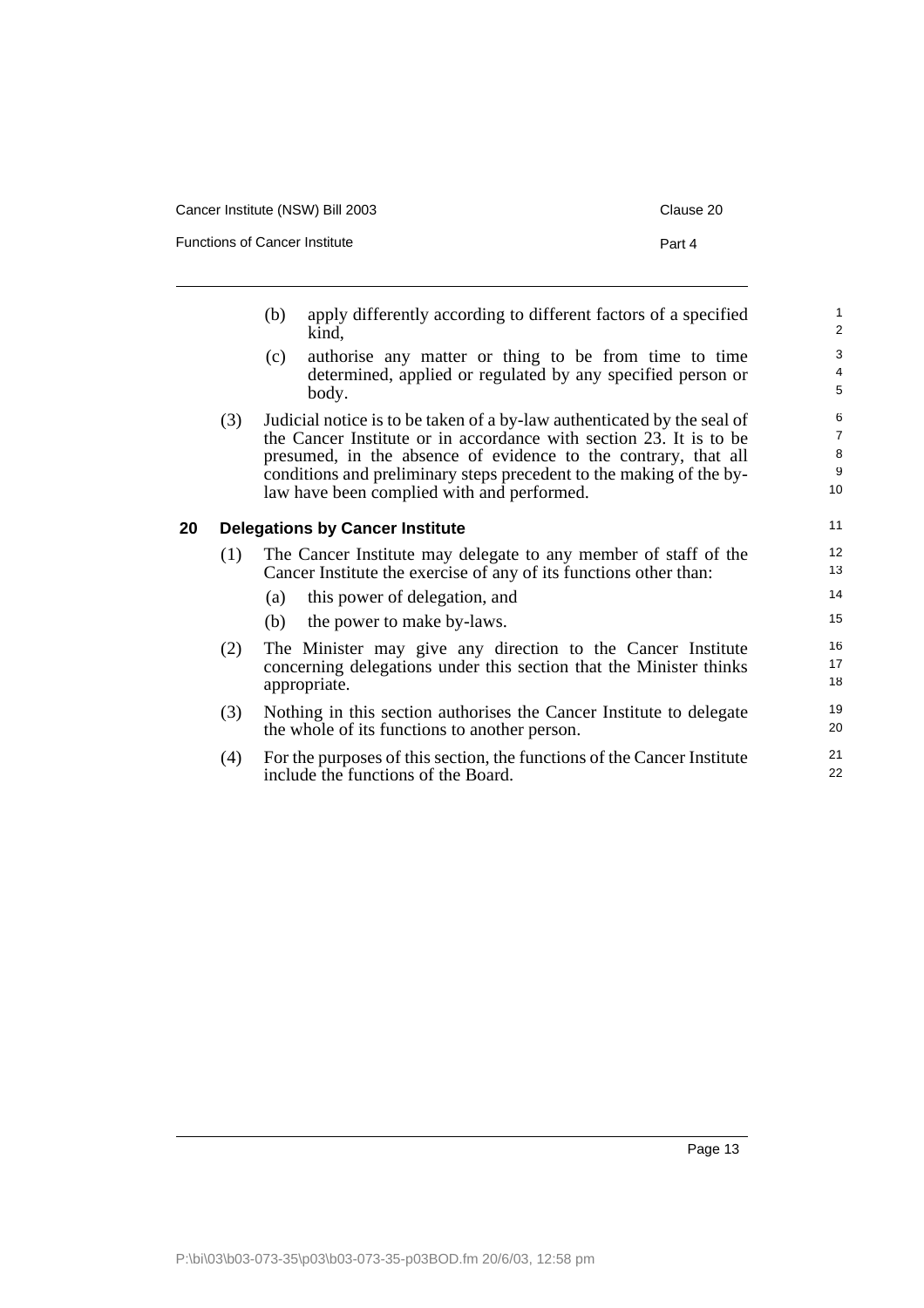| Cancer Institute (NSW) Bill 2003 | Clause 20 |
|----------------------------------|-----------|
| Functions of Cancer Institute    | Part 4    |
|                                  |           |

- (b) apply differently according to different factors of a specified kind,
- (c) authorise any matter or thing to be from time to time determined, applied or regulated by any specified person or body.
- (3) Judicial notice is to be taken of a by-law authenticated by the seal of the Cancer Institute or in accordance with section 23. It is to be presumed, in the absence of evidence to the contrary, that all conditions and preliminary steps precedent to the making of the bylaw have been complied with and performed.

## <span id="page-14-0"></span>**20 Delegations by Cancer Institute**

| (1) | The Cancer Institute may delegate to any member of staff of the   |
|-----|-------------------------------------------------------------------|
|     | Cancer Institute the exercise of any of its functions other than: |

- (a) this power of delegation, and
- (b) the power to make by-laws.
- (2) The Minister may give any direction to the Cancer Institute concerning delegations under this section that the Minister thinks appropriate.
- (3) Nothing in this section authorises the Cancer Institute to delegate the whole of its functions to another person.
- (4) For the purposes of this section, the functions of the Cancer Institute include the functions of the Board.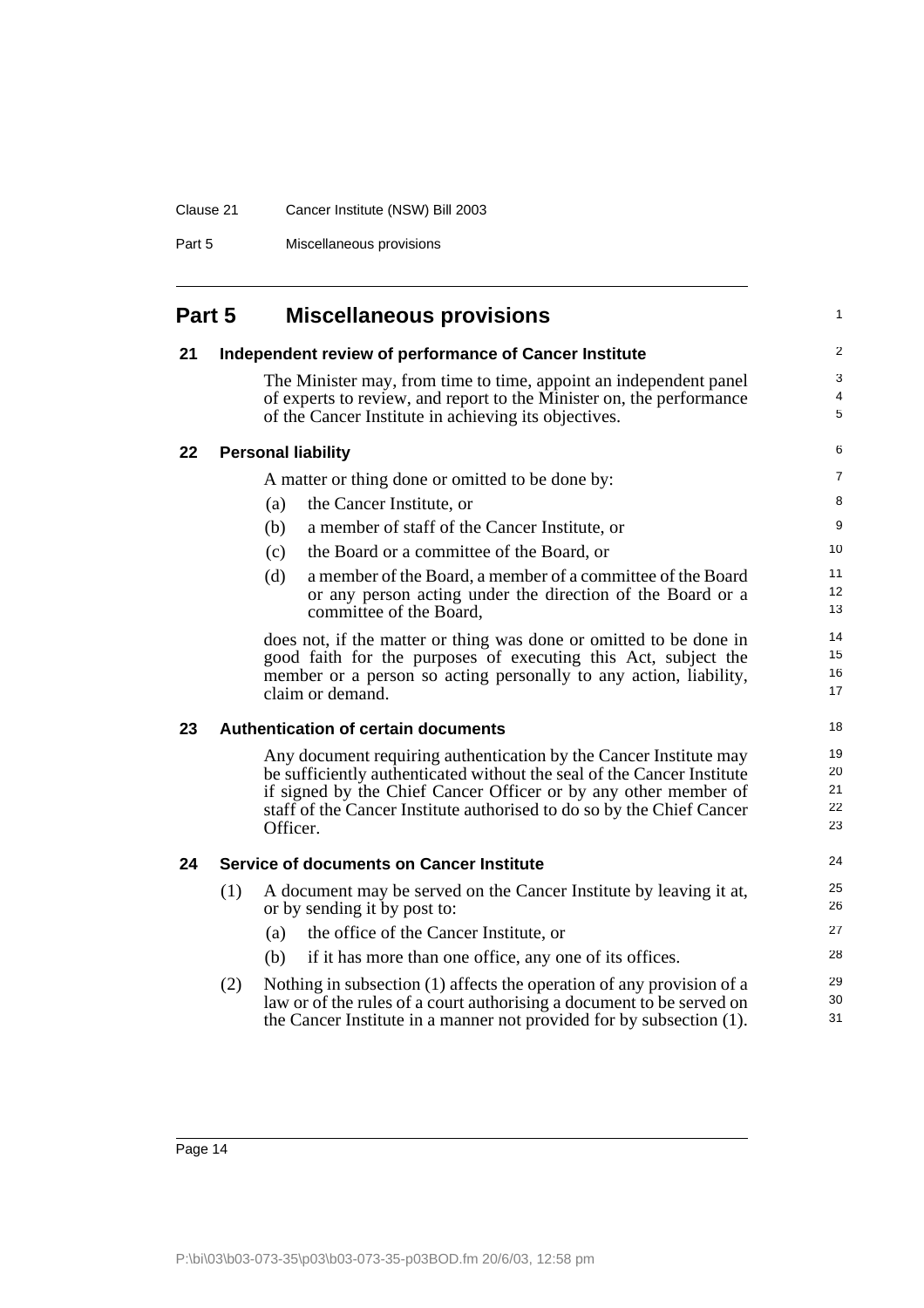# Clause 21 Cancer Institute (NSW) Bill 2003

Part 5 Miscellaneous provisions

<span id="page-15-4"></span><span id="page-15-3"></span><span id="page-15-2"></span><span id="page-15-1"></span><span id="page-15-0"></span>

| Part 5 |     | <b>Miscellaneous provisions</b>                                                                                                                                                                   | 1           |
|--------|-----|---------------------------------------------------------------------------------------------------------------------------------------------------------------------------------------------------|-------------|
| 21     |     | Independent review of performance of Cancer Institute                                                                                                                                             | 2           |
|        |     | The Minister may, from time to time, appoint an independent panel<br>of experts to review, and report to the Minister on, the performance<br>of the Cancer Institute in achieving its objectives. | 3<br>4<br>5 |
| 22     |     | <b>Personal liability</b>                                                                                                                                                                         | 6           |
|        |     | A matter or thing done or omitted to be done by:                                                                                                                                                  | 7           |
|        |     | the Cancer Institute, or<br>(a)                                                                                                                                                                   | 8           |
|        |     | (b)<br>a member of staff of the Cancer Institute, or                                                                                                                                              | 9           |
|        |     | the Board or a committee of the Board, or<br>(c)                                                                                                                                                  | 10          |
|        |     | a member of the Board, a member of a committee of the Board<br>(d)                                                                                                                                | 11          |
|        |     | or any person acting under the direction of the Board or a<br>committee of the Board.                                                                                                             | 12<br>13    |
|        |     | does not, if the matter or thing was done or omitted to be done in                                                                                                                                | 14<br>15    |
|        |     | good faith for the purposes of executing this Act, subject the<br>member or a person so acting personally to any action, liability,                                                               | 16          |
|        |     | claim or demand.                                                                                                                                                                                  | 17          |
| 23     |     | <b>Authentication of certain documents</b>                                                                                                                                                        | 18          |
|        |     | Any document requiring authentication by the Cancer Institute may                                                                                                                                 | 19          |
|        |     | be sufficiently authenticated without the seal of the Cancer Institute<br>if signed by the Chief Cancer Officer or by any other member of                                                         | 20<br>21    |
|        |     | staff of the Cancer Institute authorised to do so by the Chief Cancer                                                                                                                             | 22          |
|        |     | Officer.                                                                                                                                                                                          | 23          |
| 24     |     | <b>Service of documents on Cancer Institute</b>                                                                                                                                                   | 24          |
|        | (1) | A document may be served on the Cancer Institute by leaving it at,<br>or by sending it by post to:                                                                                                | 25<br>26    |
|        |     | the office of the Cancer Institute, or<br>(a)                                                                                                                                                     | 27          |
|        |     | if it has more than one office, any one of its offices.<br>(b)                                                                                                                                    | 28          |
|        | (2) | Nothing in subsection (1) affects the operation of any provision of a                                                                                                                             | 29          |
|        |     | law or of the rules of a court authorising a document to be served on                                                                                                                             | 30<br>31    |
|        |     | the Cancer Institute in a manner not provided for by subsection (1).                                                                                                                              |             |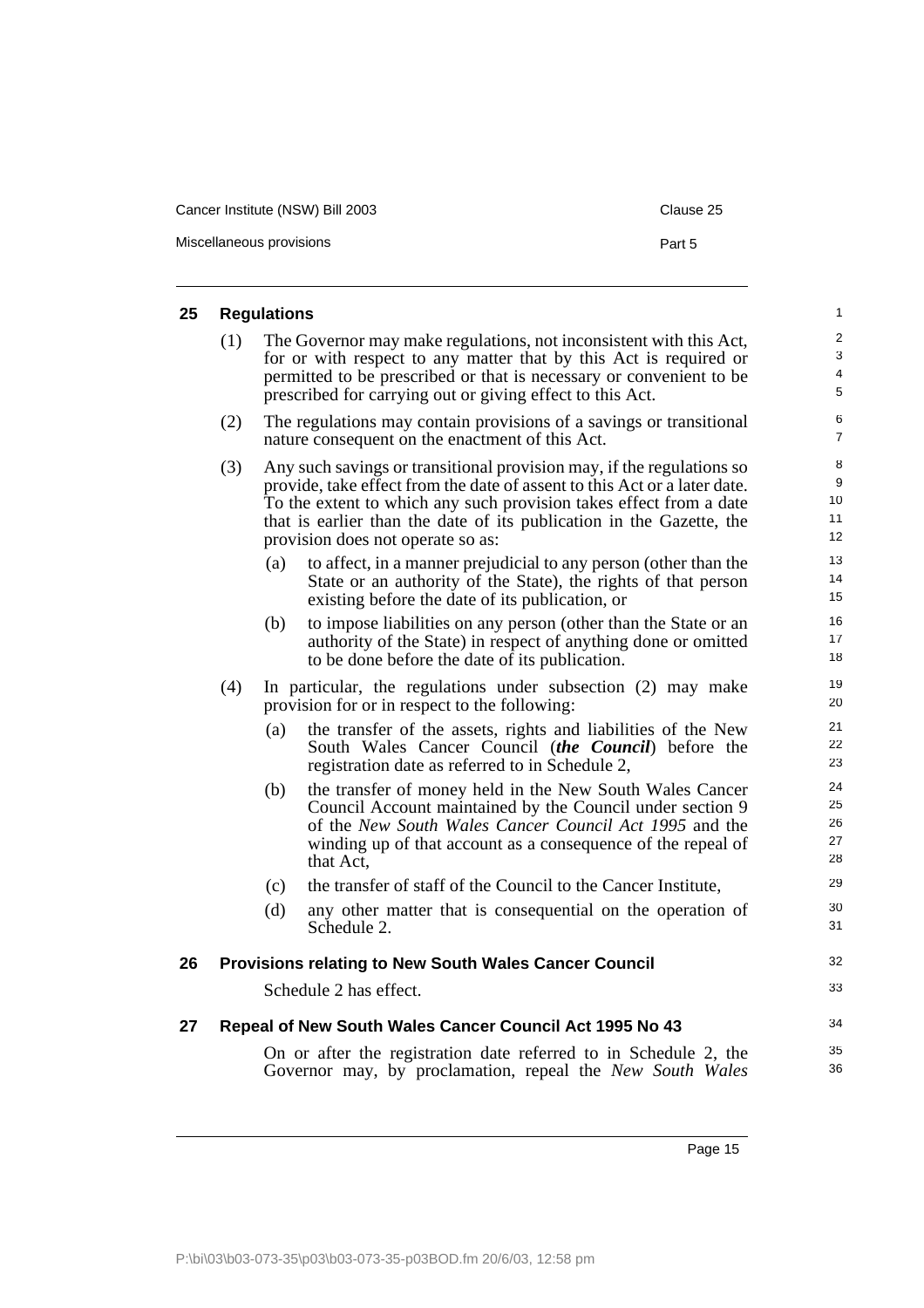| Cancer Institute (NSW) Bill 2003 | Clause 25 |
|----------------------------------|-----------|
| Miscellaneous provisions         | Part 5    |

## <span id="page-16-0"></span>**25 Regulations** (1) The Governor may make regulations, not inconsistent with this Act, for or with respect to any matter that by this Act is required or permitted to be prescribed or that is necessary or convenient to be prescribed for carrying out or giving effect to this Act. (2) The regulations may contain provisions of a savings or transitional nature consequent on the enactment of this Act. (3) Any such savings or transitional provision may, if the regulations so provide, take effect from the date of assent to this Act or a later date. To the extent to which any such provision takes effect from a date that is earlier than the date of its publication in the Gazette, the provision does not operate so as: (a) to affect, in a manner prejudicial to any person (other than the State or an authority of the State), the rights of that person existing before the date of its publication, or (b) to impose liabilities on any person (other than the State or an authority of the State) in respect of anything done or omitted to be done before the date of its publication. (4) In particular, the regulations under subsection (2) may make provision for or in respect to the following: (a) the transfer of the assets, rights and liabilities of the New South Wales Cancer Council (*the Council*) before the registration date as referred to in Schedule 2, (b) the transfer of money held in the New South Wales Cancer Council Account maintained by the Council under section 9 of the *New South Wales Cancer Council Act 1995* and the winding up of that account as a consequence of the repeal of that Act, (c) the transfer of staff of the Council to the Cancer Institute, (d) any other matter that is consequential on the operation of Schedule 2.

## <span id="page-16-1"></span>**26 Provisions relating to New South Wales Cancer Council**

Schedule 2 has effect.

### <span id="page-16-2"></span>**27 Repeal of New South Wales Cancer Council Act 1995 No 43**

On or after the registration date referred to in Schedule 2, the Governor may, by proclamation, repeal the *New South Wales*

Page 15

32 33

34 35 36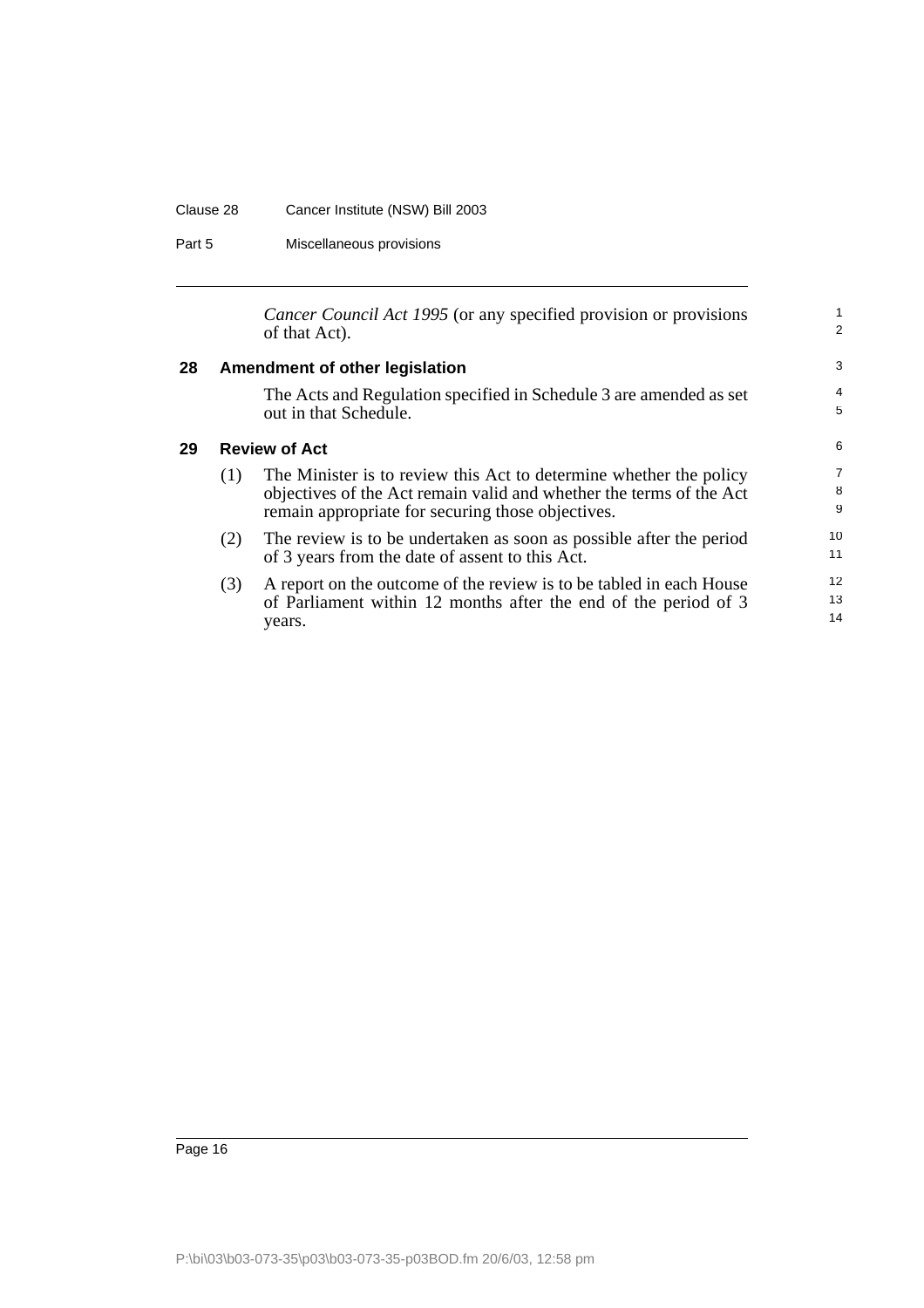#### Clause 28 Cancer Institute (NSW) Bill 2003

Part 5 Miscellaneous provisions

<span id="page-17-1"></span><span id="page-17-0"></span>*Cancer Council Act 1995* (or any specified provision or provisions of that Act). **28 Amendment of other legislation** The Acts and Regulation specified in Schedule 3 are amended as set out in that Schedule. **29 Review of Act** (1) The Minister is to review this Act to determine whether the policy objectives of the Act remain valid and whether the terms of the Act remain appropriate for securing those objectives. (2) The review is to be undertaken as soon as possible after the period of 3 years from the date of assent to this Act. (3) A report on the outcome of the review is to be tabled in each House of Parliament within 12 months after the end of the period of 3 years. 1 2 3 4 5 6 7 8 9 10 11 12 13 14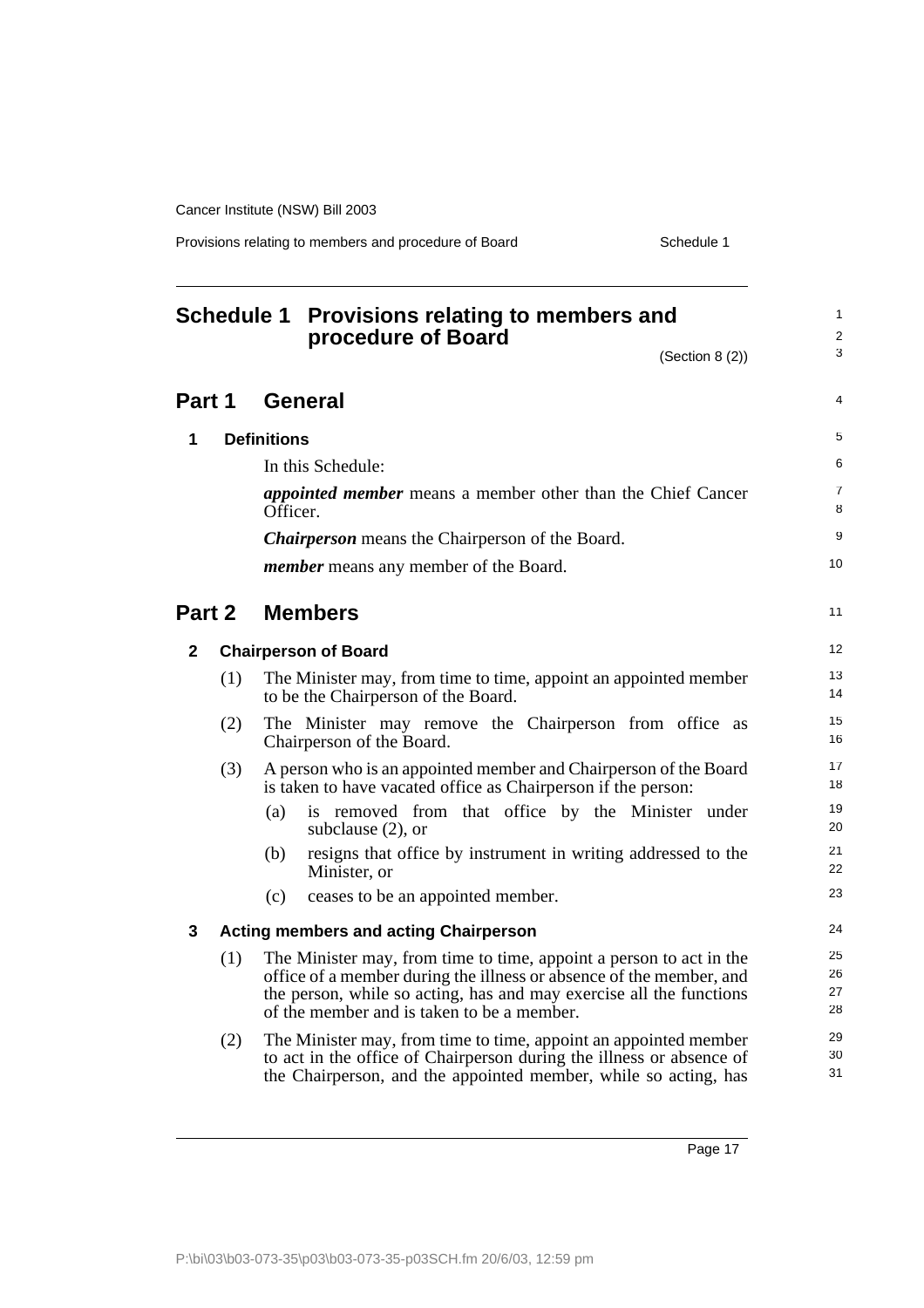Provisions relating to members and procedure of Board Schedule 1

<span id="page-18-0"></span>

|        |     |                    | Schedule 1 Provisions relating to members and<br>procedure of Board                                                                                                                                                                                             | $\mathbf{1}$<br>$\overline{\mathbf{c}}$ |
|--------|-----|--------------------|-----------------------------------------------------------------------------------------------------------------------------------------------------------------------------------------------------------------------------------------------------------------|-----------------------------------------|
|        |     |                    | (Section 8 (2))                                                                                                                                                                                                                                                 | 3                                       |
| Part 1 |     |                    | <b>General</b>                                                                                                                                                                                                                                                  | 4                                       |
| 1      |     | <b>Definitions</b> |                                                                                                                                                                                                                                                                 | 5                                       |
|        |     |                    | In this Schedule:                                                                                                                                                                                                                                               | 6                                       |
|        |     | Officer.           | <i>appointed member</i> means a member other than the Chief Cancer                                                                                                                                                                                              | $\overline{7}$<br>8                     |
|        |     |                    | <b>Chairperson</b> means the Chairperson of the Board.                                                                                                                                                                                                          | 9                                       |
|        |     |                    | <i>member</i> means any member of the Board.                                                                                                                                                                                                                    | 10                                      |
| Part 2 |     |                    | <b>Members</b>                                                                                                                                                                                                                                                  | 11                                      |
| 2      |     |                    | <b>Chairperson of Board</b>                                                                                                                                                                                                                                     | 12                                      |
|        | (1) |                    | The Minister may, from time to time, appoint an appointed member<br>to be the Chairperson of the Board.                                                                                                                                                         | 13<br>14                                |
|        | (2) |                    | The Minister may remove the Chairperson from office as<br>Chairperson of the Board.                                                                                                                                                                             | 15<br>16                                |
|        | (3) |                    | A person who is an appointed member and Chairperson of the Board<br>is taken to have vacated office as Chairperson if the person:                                                                                                                               | 17<br>18                                |
|        |     | (a)                | is removed from that office by the Minister under<br>subclause $(2)$ , or                                                                                                                                                                                       | 19<br>20                                |
|        |     | (b)                | resigns that office by instrument in writing addressed to the<br>Minister, or                                                                                                                                                                                   | 21<br>22                                |
|        |     | (c)                | ceases to be an appointed member.                                                                                                                                                                                                                               | 23                                      |
| 3      |     |                    | <b>Acting members and acting Chairperson</b>                                                                                                                                                                                                                    | 24                                      |
|        | (1) |                    | The Minister may, from time to time, appoint a person to act in the<br>office of a member during the illness or absence of the member, and<br>the person, while so acting, has and may exercise all the functions<br>of the member and is taken to be a member. | 25<br>26<br>27<br>28                    |
|        | (2) |                    | The Minister may, from time to time, appoint an appointed member<br>to act in the office of Chairperson during the illness or absence of<br>the Chairperson, and the appointed member, while so acting, has                                                     | 29<br>30<br>31                          |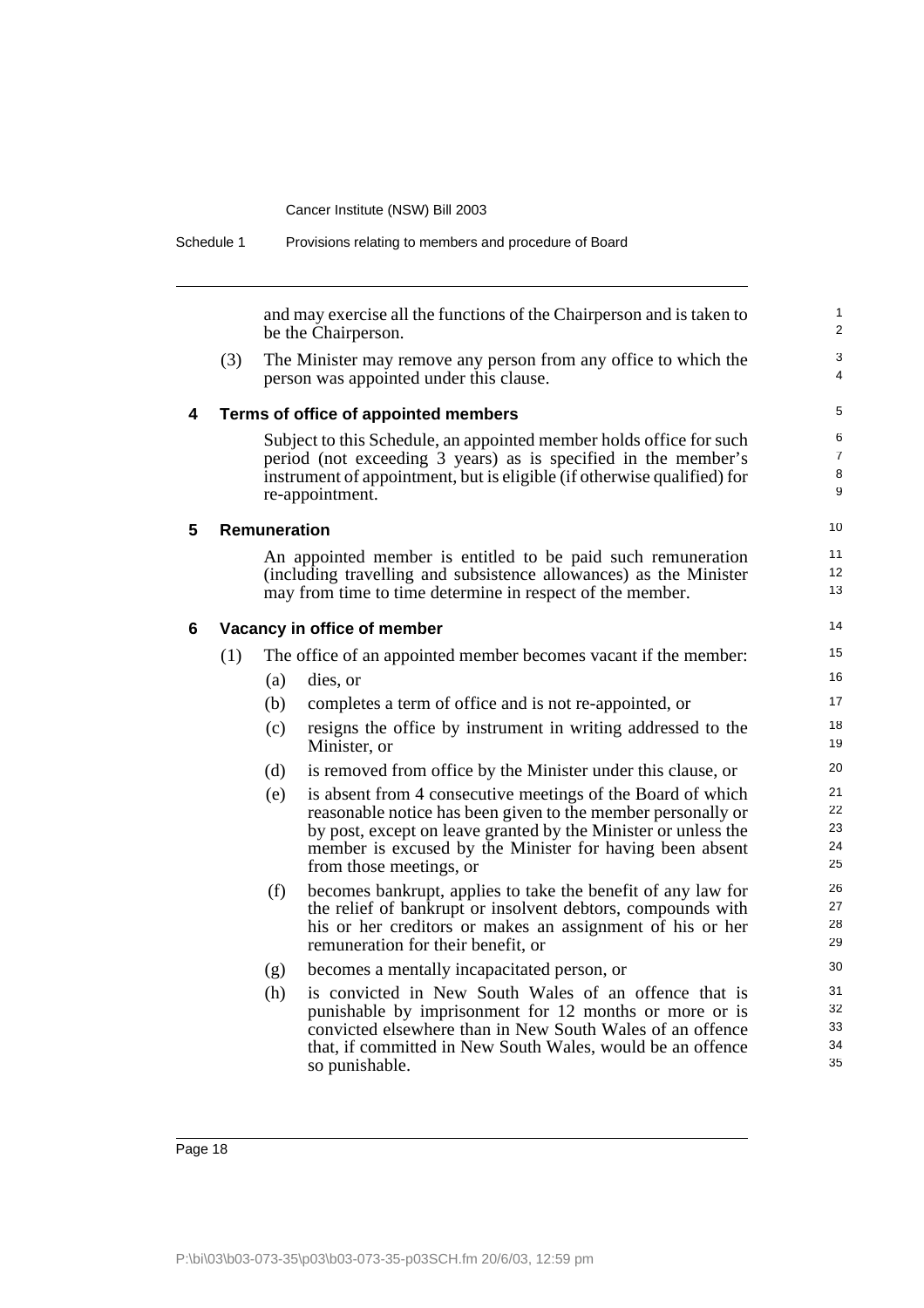| Schedule 1 |     |                                                                                              | Provisions relating to members and procedure of Board                                                                                                                                                                               |                                |
|------------|-----|----------------------------------------------------------------------------------------------|-------------------------------------------------------------------------------------------------------------------------------------------------------------------------------------------------------------------------------------|--------------------------------|
|            |     | and may exercise all the functions of the Chairperson and is taken to<br>be the Chairperson. |                                                                                                                                                                                                                                     | $\mathbf{1}$<br>$\overline{2}$ |
|            | (3) |                                                                                              | The Minister may remove any person from any office to which the<br>person was appointed under this clause.                                                                                                                          | 3<br>4                         |
| 4          |     |                                                                                              | Terms of office of appointed members                                                                                                                                                                                                | 5                              |
|            |     |                                                                                              | Subject to this Schedule, an appointed member holds office for such<br>period (not exceeding 3 years) as is specified in the member's<br>instrument of appointment, but is eligible (if otherwise qualified) for<br>re-appointment. | 6<br>$\overline{7}$<br>8<br>9  |
| 5          |     | <b>Remuneration</b>                                                                          |                                                                                                                                                                                                                                     | 10                             |
|            |     |                                                                                              | An appointed member is entitled to be paid such remuneration                                                                                                                                                                        | 11                             |
|            |     |                                                                                              | (including travelling and subsistence allowances) as the Minister<br>may from time to time determine in respect of the member.                                                                                                      | 12<br>13                       |
|            |     |                                                                                              |                                                                                                                                                                                                                                     | 14                             |
| 6          |     |                                                                                              | Vacancy in office of member                                                                                                                                                                                                         |                                |
|            | (1) |                                                                                              | The office of an appointed member becomes vacant if the member:                                                                                                                                                                     | 15<br>16                       |
|            |     | (a)                                                                                          | dies, or                                                                                                                                                                                                                            | 17                             |
|            |     | (b)                                                                                          | completes a term of office and is not re-appointed, or                                                                                                                                                                              |                                |
|            |     | (c)                                                                                          | resigns the office by instrument in writing addressed to the<br>Minister, or                                                                                                                                                        | 18<br>19                       |
|            |     | (d)                                                                                          | is removed from office by the Minister under this clause, or                                                                                                                                                                        | 20                             |
|            |     | (e)                                                                                          | is absent from 4 consecutive meetings of the Board of which                                                                                                                                                                         | 21                             |
|            |     |                                                                                              | reasonable notice has been given to the member personally or<br>by post, except on leave granted by the Minister or unless the                                                                                                      | 22<br>23                       |
|            |     |                                                                                              | member is excused by the Minister for having been absent                                                                                                                                                                            | 24                             |
|            |     |                                                                                              | from those meetings, or                                                                                                                                                                                                             | 25                             |
|            |     | (f)                                                                                          | becomes bankrupt, applies to take the benefit of any law for                                                                                                                                                                        | 26                             |
|            |     |                                                                                              | the relief of bankrupt or insolvent debtors, compounds with<br>his or her creditors or makes an assignment of his or her                                                                                                            | 27<br>28                       |
|            |     |                                                                                              | remuneration for their benefit, or                                                                                                                                                                                                  | 29                             |
|            |     | (g)                                                                                          | becomes a mentally incapacitated person, or                                                                                                                                                                                         | 30                             |
|            |     | (h)                                                                                          | is convicted in New South Wales of an offence that is                                                                                                                                                                               | 31                             |
|            |     |                                                                                              | punishable by imprisonment for 12 months or more or is                                                                                                                                                                              | 32                             |
|            |     |                                                                                              | convicted elsewhere than in New South Wales of an offence<br>that, if committed in New South Wales, would be an offence                                                                                                             | 33<br>34                       |
|            |     |                                                                                              | so punishable.                                                                                                                                                                                                                      | 35                             |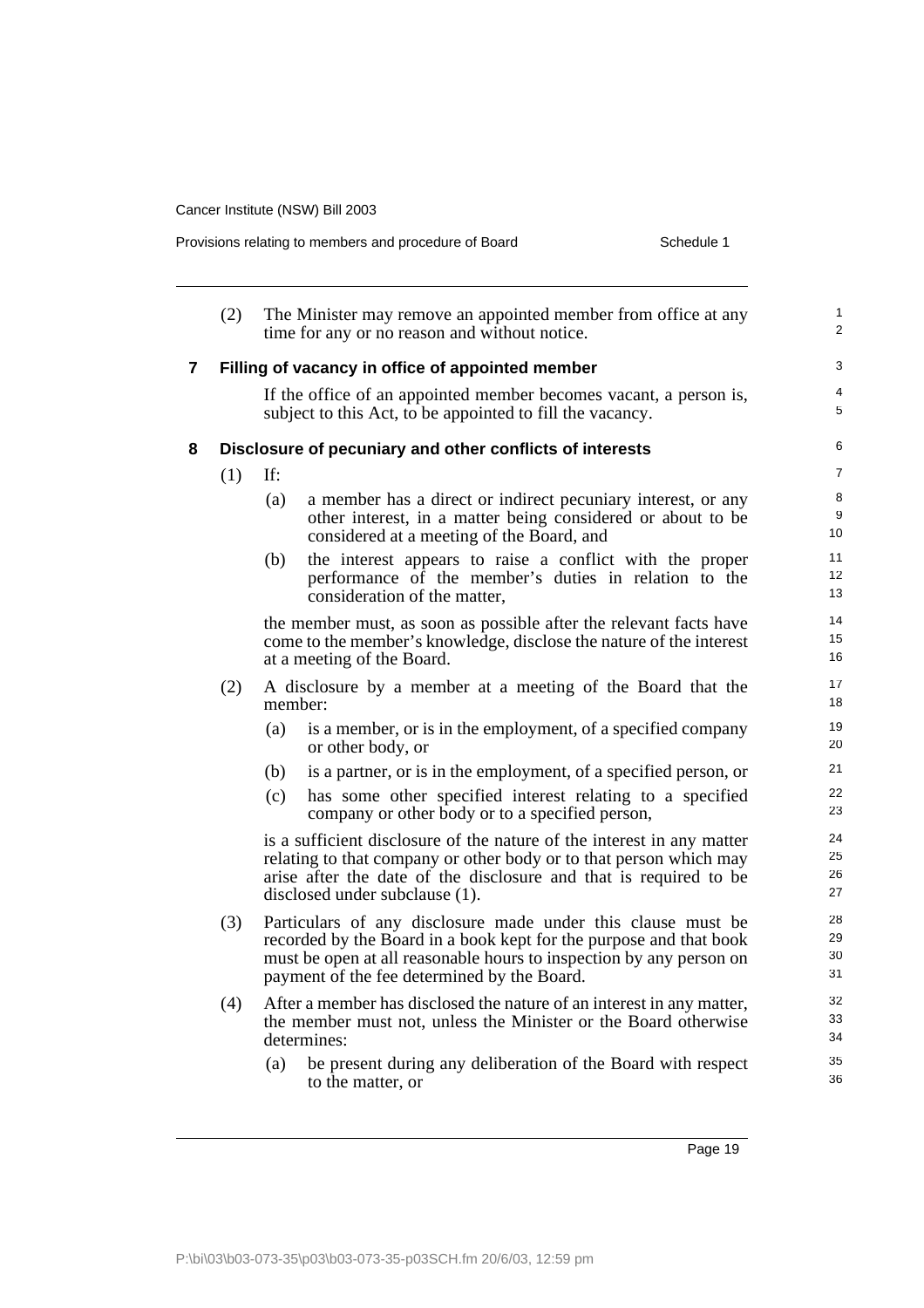| Schedule 1<br>Provisions relating to members and procedure of Board |     |         |                                                                                                                                                                                                                                                          |  |
|---------------------------------------------------------------------|-----|---------|----------------------------------------------------------------------------------------------------------------------------------------------------------------------------------------------------------------------------------------------------------|--|
|                                                                     | (2) |         | The Minister may remove an appointed member from office at any<br>time for any or no reason and without notice.                                                                                                                                          |  |
| $\mathbf{7}$                                                        |     |         | Filling of vacancy in office of appointed member                                                                                                                                                                                                         |  |
|                                                                     |     |         | If the office of an appointed member becomes vacant, a person is,<br>subject to this Act, to be appointed to fill the vacancy.                                                                                                                           |  |
| 8                                                                   |     |         | Disclosure of pecuniary and other conflicts of interests                                                                                                                                                                                                 |  |
|                                                                     | (1) | If:     |                                                                                                                                                                                                                                                          |  |
|                                                                     |     | (a)     | a member has a direct or indirect pecuniary interest, or any<br>other interest, in a matter being considered or about to be<br>considered at a meeting of the Board, and                                                                                 |  |
|                                                                     |     | (b)     | the interest appears to raise a conflict with the proper<br>performance of the member's duties in relation to the<br>consideration of the matter,                                                                                                        |  |
|                                                                     |     |         | the member must, as soon as possible after the relevant facts have<br>come to the member's knowledge, disclose the nature of the interest<br>at a meeting of the Board.                                                                                  |  |
|                                                                     | (2) | member: | A disclosure by a member at a meeting of the Board that the                                                                                                                                                                                              |  |
|                                                                     |     | (a)     | is a member, or is in the employment, of a specified company<br>or other body, or                                                                                                                                                                        |  |
|                                                                     |     | (b)     | is a partner, or is in the employment, of a specified person, or                                                                                                                                                                                         |  |
|                                                                     |     | (c)     | has some other specified interest relating to a specified<br>company or other body or to a specified person,                                                                                                                                             |  |
|                                                                     |     |         | is a sufficient disclosure of the nature of the interest in any matter<br>relating to that company or other body or to that person which may<br>arise after the date of the disclosure and that is required to be<br>disclosed under subclause (1).      |  |
|                                                                     | (3) |         | Particulars of any disclosure made under this clause must be<br>recorded by the Board in a book kept for the purpose and that book<br>must be open at all reasonable hours to inspection by any person on<br>payment of the fee determined by the Board. |  |
|                                                                     | (4) |         | After a member has disclosed the nature of an interest in any matter,<br>the member must not, unless the Minister or the Board otherwise<br>determines:                                                                                                  |  |
|                                                                     |     | (a)     | be present during any deliberation of the Board with respect<br>to the matter, or                                                                                                                                                                        |  |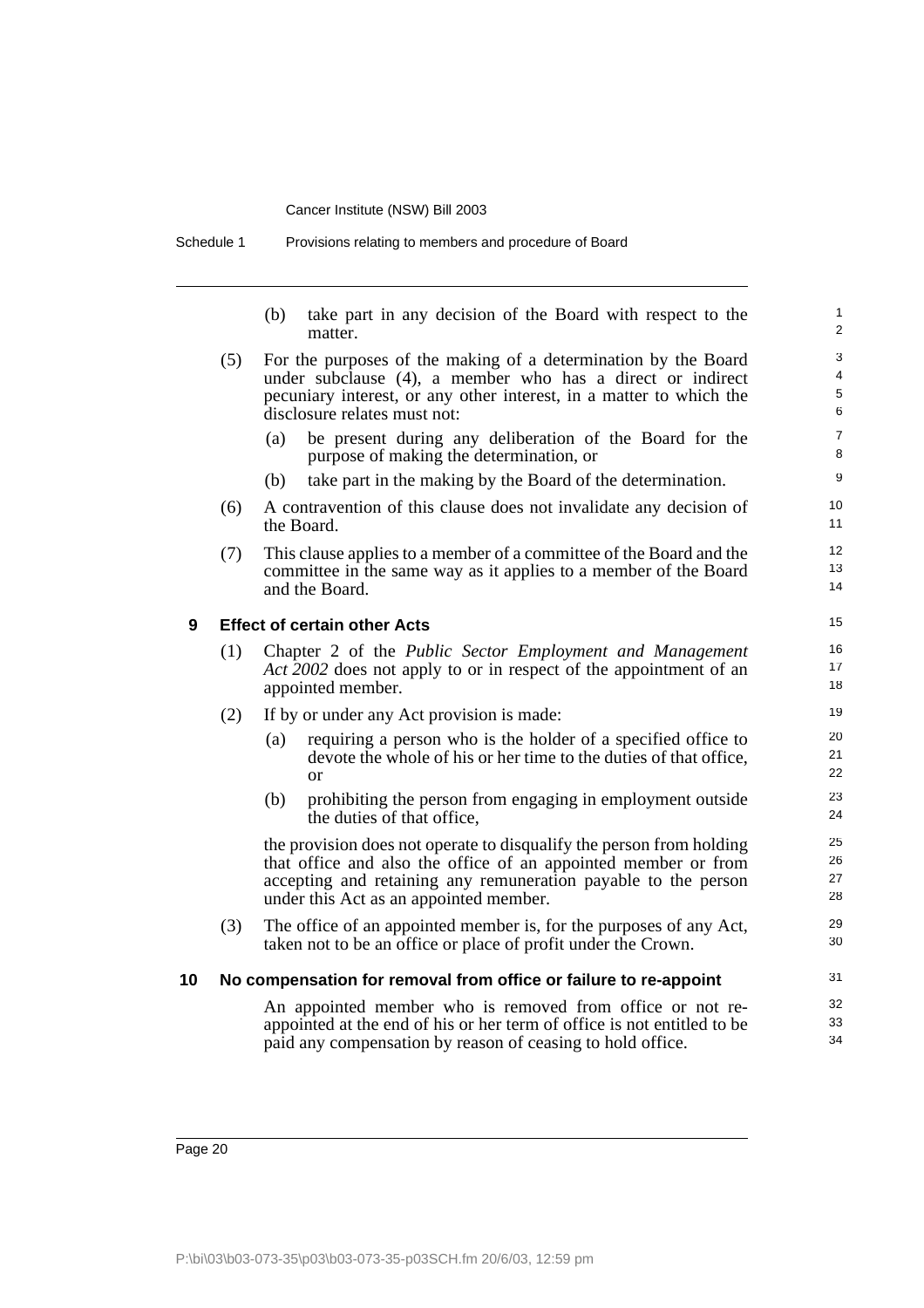Schedule 1 Provisions relating to members and procedure of Board

(b) take part in any decision of the Board with respect to the matter.

- (5) For the purposes of the making of a determination by the Board under subclause (4), a member who has a direct or indirect pecuniary interest, or any other interest, in a matter to which the disclosure relates must not:
	- (a) be present during any deliberation of the Board for the purpose of making the determination, or
	- (b) take part in the making by the Board of the determination.
- (6) A contravention of this clause does not invalidate any decision of the Board.
- (7) This clause applies to a member of a committee of the Board and the committee in the same way as it applies to a member of the Board and the Board.

### **9 Effect of certain other Acts**

- (1) Chapter 2 of the *Public Sector Employment and Management Act 2002* does not apply to or in respect of the appointment of an appointed member.
- (2) If by or under any Act provision is made:
	- (a) requiring a person who is the holder of a specified office to devote the whole of his or her time to the duties of that office, or
	- (b) prohibiting the person from engaging in employment outside the duties of that office,

the provision does not operate to disqualify the person from holding that office and also the office of an appointed member or from accepting and retaining any remuneration payable to the person under this Act as an appointed member.

(3) The office of an appointed member is, for the purposes of any Act, taken not to be an office or place of profit under the Crown.

### **10 No compensation for removal from office or failure to re-appoint**

An appointed member who is removed from office or not reappointed at the end of his or her term of office is not entitled to be paid any compensation by reason of ceasing to hold office.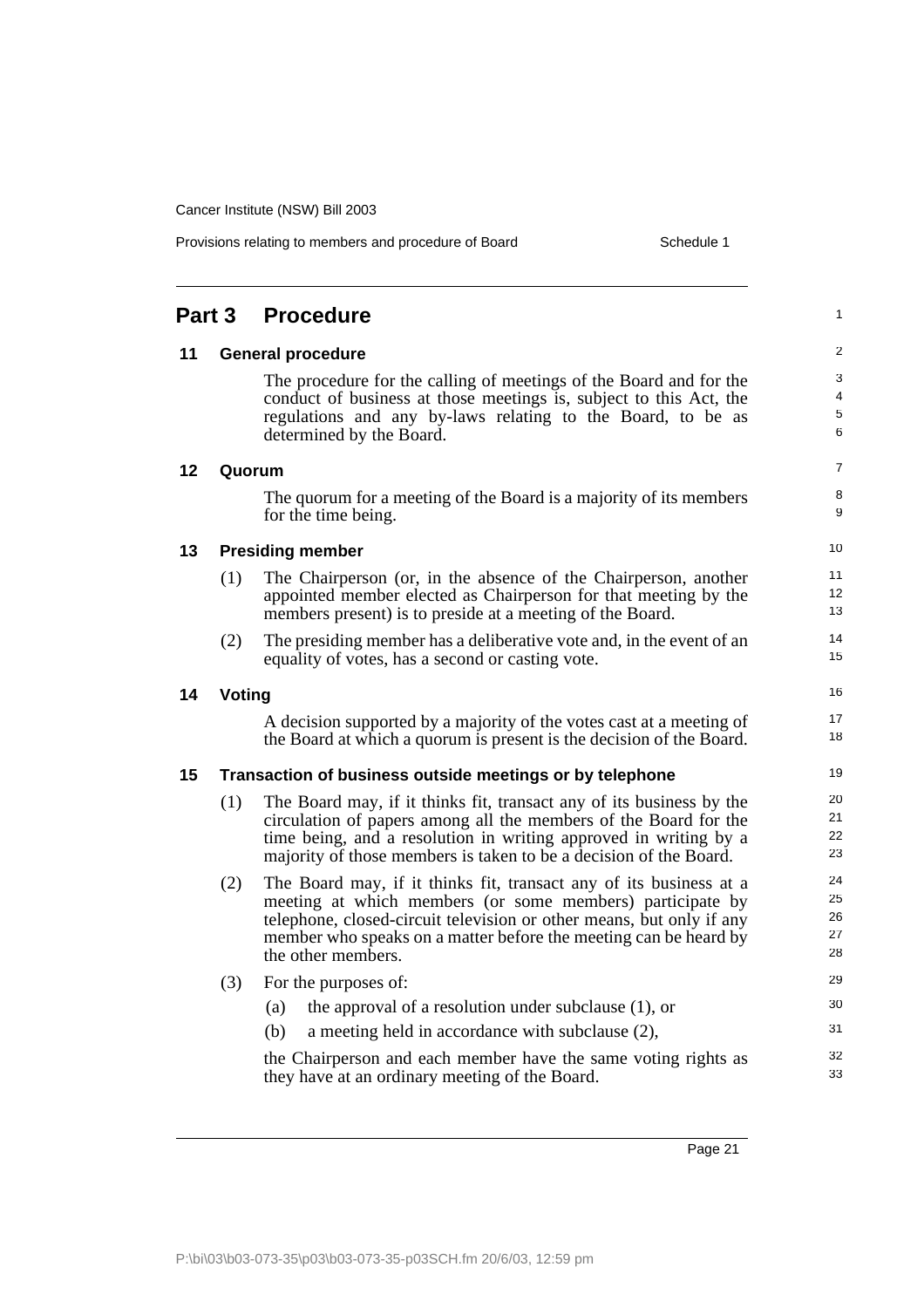| 11 | <b>General procedure</b>                                 |                                                                                                                                                                                                                                                                                                   |                            |
|----|----------------------------------------------------------|---------------------------------------------------------------------------------------------------------------------------------------------------------------------------------------------------------------------------------------------------------------------------------------------------|----------------------------|
|    |                                                          | The procedure for the calling of meetings of the Board and for the<br>conduct of business at those meetings is, subject to this Act, the<br>regulations and any by-laws relating to the Board, to be as<br>determined by the Board.                                                               | 3<br>4<br>5<br>6           |
| 12 |                                                          | Quorum                                                                                                                                                                                                                                                                                            | 7                          |
|    |                                                          | The quorum for a meeting of the Board is a majority of its members<br>for the time being.                                                                                                                                                                                                         | 8<br>9                     |
| 13 |                                                          | <b>Presiding member</b>                                                                                                                                                                                                                                                                           | 10                         |
|    | (1)                                                      | The Chairperson (or, in the absence of the Chairperson, another<br>appointed member elected as Chairperson for that meeting by the<br>members present) is to preside at a meeting of the Board.                                                                                                   | 11<br>12<br>13             |
|    | (2)                                                      | The presiding member has a deliberative vote and, in the event of an<br>equality of votes, has a second or casting vote.                                                                                                                                                                          | 14<br>15                   |
| 14 | Voting                                                   |                                                                                                                                                                                                                                                                                                   |                            |
|    |                                                          | A decision supported by a majority of the votes cast at a meeting of<br>the Board at which a quorum is present is the decision of the Board.                                                                                                                                                      | 17<br>18                   |
| 15 | Transaction of business outside meetings or by telephone |                                                                                                                                                                                                                                                                                                   |                            |
|    | (1)                                                      | The Board may, if it thinks fit, transact any of its business by the<br>circulation of papers among all the members of the Board for the<br>time being, and a resolution in writing approved in writing by a<br>majority of those members is taken to be a decision of the Board.                 | 20<br>21<br>22<br>23       |
|    | (2)                                                      | The Board may, if it thinks fit, transact any of its business at a<br>meeting at which members (or some members) participate by<br>telephone, closed-circuit television or other means, but only if any<br>member who speaks on a matter before the meeting can be heard by<br>the other members. | 24<br>25<br>26<br>27<br>28 |
|    | (3)                                                      | For the purposes of:                                                                                                                                                                                                                                                                              | 29                         |
|    |                                                          | the approval of a resolution under subclause $(1)$ , or<br>(a)                                                                                                                                                                                                                                    | 30                         |
|    |                                                          | a meeting held in accordance with subclause (2),<br>(b)                                                                                                                                                                                                                                           | 31                         |
|    |                                                          | the Chairperson and each member have the same voting rights as<br>they have at an ordinary meeting of the Board.                                                                                                                                                                                  | 32<br>33                   |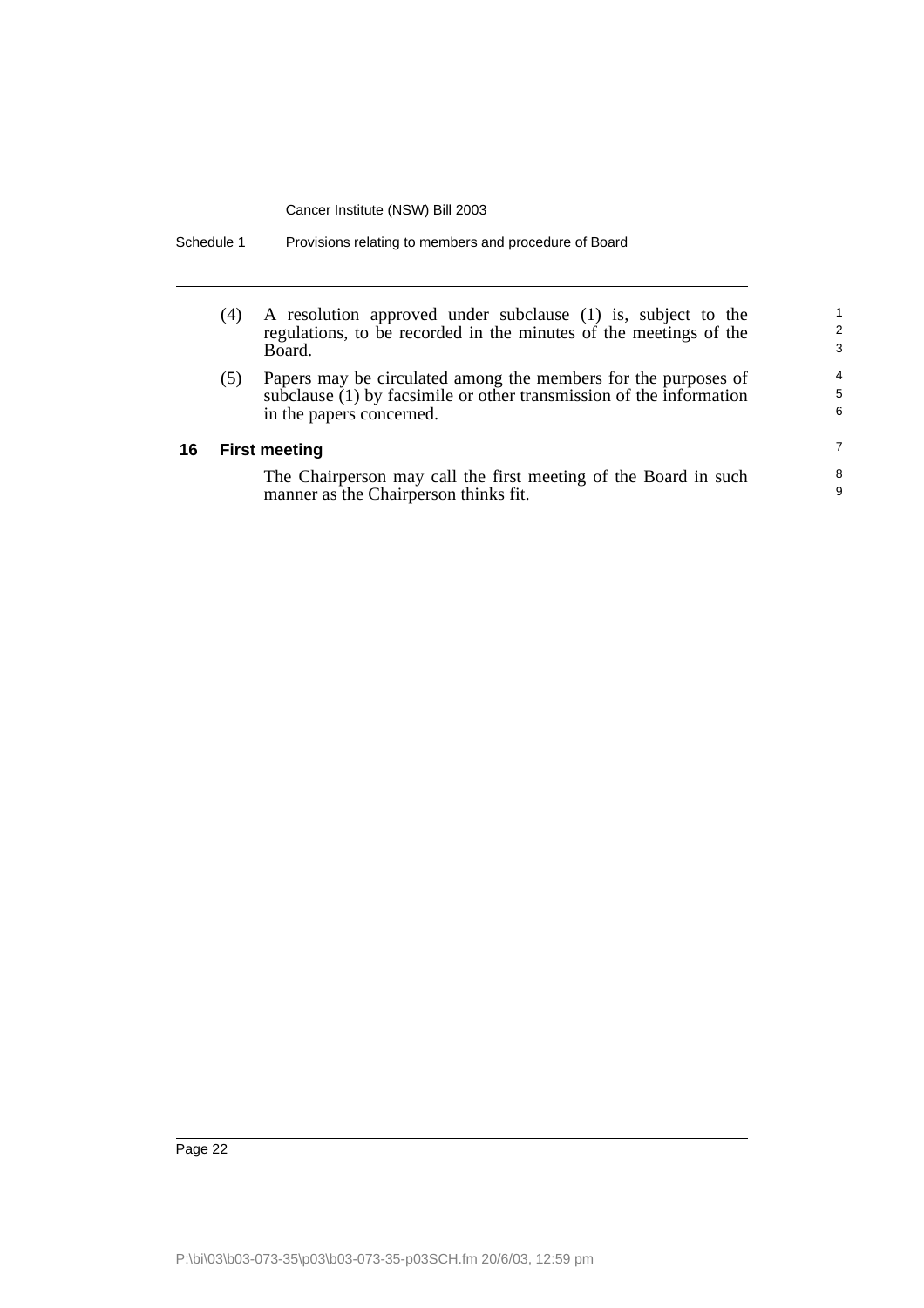| (4)                  | A resolution approved under subclause (1) is, subject to the<br>regulations, to be recorded in the minutes of the meetings of the<br>Board.                       | 2<br>3                   |
|----------------------|-------------------------------------------------------------------------------------------------------------------------------------------------------------------|--------------------------|
| (5)                  | Papers may be circulated among the members for the purposes of<br>subclause (1) by facsimile or other transmission of the information<br>in the papers concerned. | $\overline{4}$<br>5<br>6 |
| <b>First meeting</b> |                                                                                                                                                                   |                          |
|                      | The Chairperson may call the first meeting of the Board in such<br>manner as the Chairperson thinks fit.                                                          | 8<br>9                   |

Schedule 1 Provisions relating to members and procedure of Board

**16**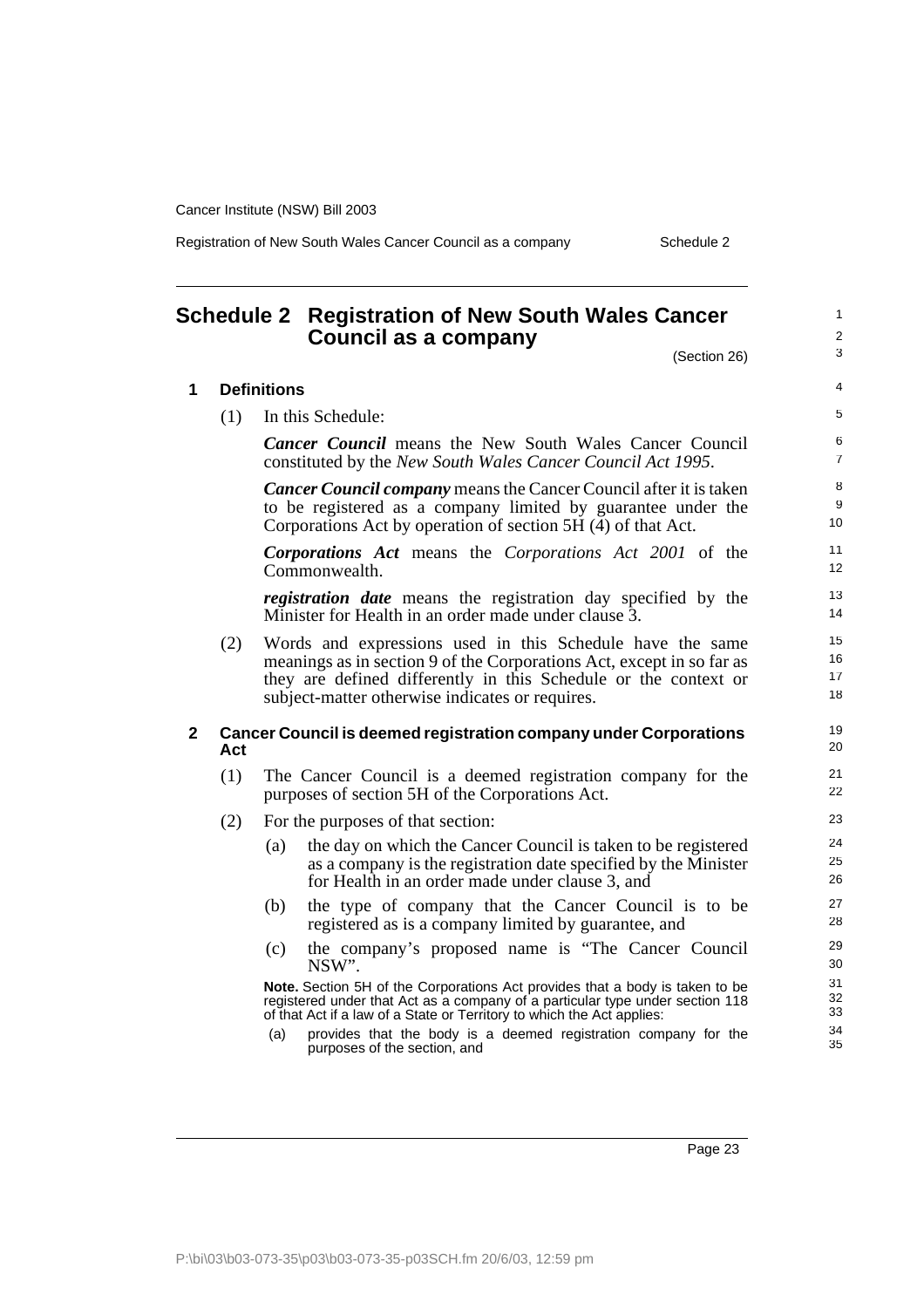Registration of New South Wales Cancer Council as a company Schedule 2

# <span id="page-24-0"></span>**Schedule 2 Registration of New South Wales Cancer Council as a company**

(Section 26)

1 2 3

| 1 | <b>Definitions</b> |                                                                                                                                                                                                                                                          |                           |  |
|---|--------------------|----------------------------------------------------------------------------------------------------------------------------------------------------------------------------------------------------------------------------------------------------------|---------------------------|--|
|   | (1)                | In this Schedule:                                                                                                                                                                                                                                        | 5                         |  |
|   |                    | <b>Cancer Council</b> means the New South Wales Cancer Council<br>constituted by the New South Wales Cancer Council Act 1995.                                                                                                                            | 6<br>$\overline{7}$       |  |
|   |                    | <b>Cancer Council company</b> means the Cancer Council after it is taken<br>to be registered as a company limited by guarantee under the<br>Corporations Act by operation of section $5H(4)$ of that Act.                                                | 8<br>9<br>10 <sup>1</sup> |  |
|   |                    | <b>Corporations Act</b> means the Corporations Act 2001 of the<br>Commonwealth.                                                                                                                                                                          | 11<br>12 <sup>2</sup>     |  |
|   |                    | <i>registration date</i> means the registration day specified by the<br>Minister for Health in an order made under clause 3.                                                                                                                             | 13<br>14                  |  |
|   | (2)                | Words and expressions used in this Schedule have the same<br>meanings as in section 9 of the Corporations Act, except in so far as<br>they are defined differently in this Schedule or the context or<br>subject-matter otherwise indicates or requires. | 15<br>16<br>17<br>18      |  |
| 2 | Act                | <b>Cancer Council is deemed registration company under Corporations</b>                                                                                                                                                                                  | 19<br>20                  |  |
|   | (1)                | The Cancer Council is a deemed registration company for the<br>purposes of section 5H of the Corporations Act.                                                                                                                                           |                           |  |
|   | (2)                | For the purposes of that section:                                                                                                                                                                                                                        | 23                        |  |
|   |                    | the day on which the Cancer Council is taken to be registered<br>(a)<br>as a company is the registration date specified by the Minister<br>for Health in an order made under clause 3, and                                                               | 24<br>25<br>26            |  |
|   |                    | the type of company that the Cancer Council is to be<br>(b)<br>registered as is a company limited by guarantee, and                                                                                                                                      | 27<br>28                  |  |
|   |                    | the company's proposed name is "The Cancer Council"<br>(c)<br>NSW".                                                                                                                                                                                      | 29<br>30                  |  |
|   |                    | Note. Section 5H of the Corporations Act provides that a body is taken to be<br>registered under that Act as a company of a particular type under section 118<br>of that Act if a law of a State or Territory to which the Act applies:                  | 31<br>32<br>33            |  |
|   |                    | provides that the body is a deemed registration company for the<br>(a)<br>purposes of the section, and                                                                                                                                                   | 34<br>35                  |  |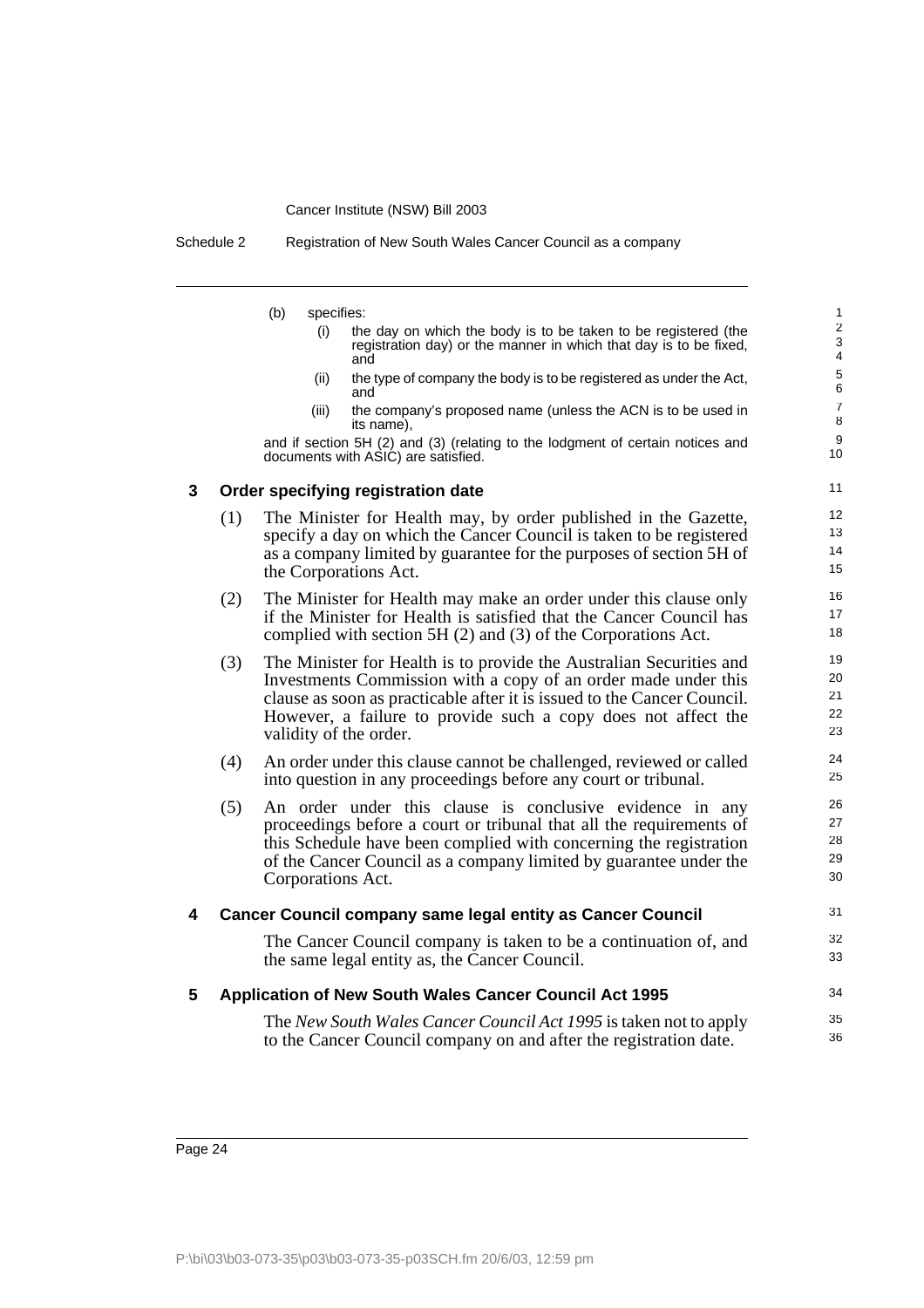Schedule 2 Registration of New South Wales Cancer Council as a company

- (b) specifies:
	- (i) the day on which the body is to be taken to be registered (the registration day) or the manner in which that day is to be fixed, and

31 32 33

34 35 36

- (ii) the type of company the body is to be registered as under the Act, and
- (iii) the company's proposed name (unless the ACN is to be used in its name),

and if section 5H (2) and (3) (relating to the lodgment of certain notices and documents with ASIC) are satisfied.

#### **3 Order specifying registration date**

- (1) The Minister for Health may, by order published in the Gazette, specify a day on which the Cancer Council is taken to be registered as a company limited by guarantee for the purposes of section 5H of the Corporations Act.
- (2) The Minister for Health may make an order under this clause only if the Minister for Health is satisfied that the Cancer Council has complied with section 5H (2) and (3) of the Corporations Act.
- (3) The Minister for Health is to provide the Australian Securities and Investments Commission with a copy of an order made under this clause as soon as practicable after it is issued to the Cancer Council. However, a failure to provide such a copy does not affect the validity of the order.
- (4) An order under this clause cannot be challenged, reviewed or called into question in any proceedings before any court or tribunal.
- (5) An order under this clause is conclusive evidence in any proceedings before a court or tribunal that all the requirements of this Schedule have been complied with concerning the registration of the Cancer Council as a company limited by guarantee under the Corporations Act.

# **4 Cancer Council company same legal entity as Cancer Council**

The Cancer Council company is taken to be a continuation of, and the same legal entity as, the Cancer Council.

#### **5 Application of New South Wales Cancer Council Act 1995**

The *New South Wales Cancer Council Act 1995* is taken not to apply to the Cancer Council company on and after the registration date.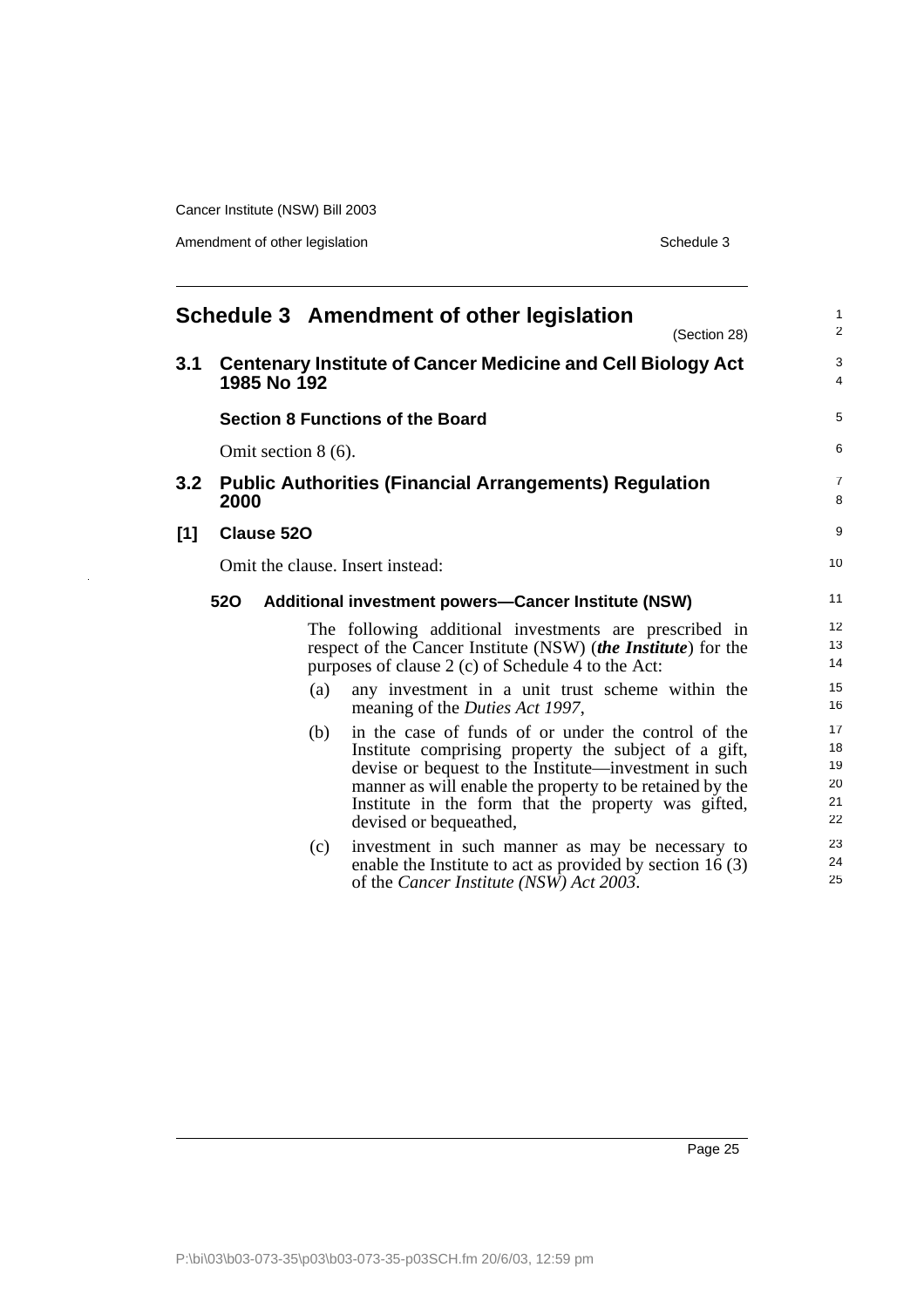Amendment of other legislation Schedule 3

l,

<span id="page-26-0"></span>

|                                  |            | (Section 28)                                                                                                                                                                                                                                                                                                      | $\mathbf{1}$<br>$\overline{2}$                                                                                                                                                                                                                                                                                                                                                                                                                                             |  |
|----------------------------------|------------|-------------------------------------------------------------------------------------------------------------------------------------------------------------------------------------------------------------------------------------------------------------------------------------------------------------------|----------------------------------------------------------------------------------------------------------------------------------------------------------------------------------------------------------------------------------------------------------------------------------------------------------------------------------------------------------------------------------------------------------------------------------------------------------------------------|--|
|                                  |            |                                                                                                                                                                                                                                                                                                                   | 3<br>$\overline{4}$                                                                                                                                                                                                                                                                                                                                                                                                                                                        |  |
|                                  |            |                                                                                                                                                                                                                                                                                                                   | 5                                                                                                                                                                                                                                                                                                                                                                                                                                                                          |  |
| Omit section $8(6)$ .            |            |                                                                                                                                                                                                                                                                                                                   |                                                                                                                                                                                                                                                                                                                                                                                                                                                                            |  |
|                                  |            |                                                                                                                                                                                                                                                                                                                   | $\overline{7}$<br>8                                                                                                                                                                                                                                                                                                                                                                                                                                                        |  |
|                                  |            |                                                                                                                                                                                                                                                                                                                   | 9                                                                                                                                                                                                                                                                                                                                                                                                                                                                          |  |
| Omit the clause. Insert instead: |            |                                                                                                                                                                                                                                                                                                                   |                                                                                                                                                                                                                                                                                                                                                                                                                                                                            |  |
|                                  |            |                                                                                                                                                                                                                                                                                                                   | 11                                                                                                                                                                                                                                                                                                                                                                                                                                                                         |  |
|                                  |            |                                                                                                                                                                                                                                                                                                                   | 12<br>13<br>14                                                                                                                                                                                                                                                                                                                                                                                                                                                             |  |
|                                  | (a)        | any investment in a unit trust scheme within the<br>meaning of the <i>Duties Act 1997</i> ,                                                                                                                                                                                                                       | 15<br>16                                                                                                                                                                                                                                                                                                                                                                                                                                                                   |  |
|                                  | (b)        | in the case of funds of or under the control of the<br>Institute comprising property the subject of a gift,<br>devise or bequest to the Institute—investment in such<br>manner as will enable the property to be retained by the<br>Institute in the form that the property was gifted,<br>devised or bequeathed, | 17<br>18<br>19<br>20<br>21<br>22                                                                                                                                                                                                                                                                                                                                                                                                                                           |  |
|                                  | (c)        | investment in such manner as may be necessary to<br>enable the Institute to act as provided by section 16 (3)<br>of the <i>Cancer Institute</i> ( <i>NSW</i> ) <i>Act</i> 2003.                                                                                                                                   | 23<br>24<br>25                                                                                                                                                                                                                                                                                                                                                                                                                                                             |  |
|                                  | <b>520</b> | 1985 No 192<br>2000<br><b>Clause 520</b>                                                                                                                                                                                                                                                                          | Schedule 3 Amendment of other legislation<br><b>Centenary Institute of Cancer Medicine and Cell Biology Act</b><br><b>Section 8 Functions of the Board</b><br><b>Public Authorities (Financial Arrangements) Regulation</b><br><b>Additional investment powers-Cancer Institute (NSW)</b><br>The following additional investments are prescribed in<br>respect of the Cancer Institute (NSW) (the Institute) for the<br>purposes of clause 2 (c) of Schedule 4 to the Act: |  |